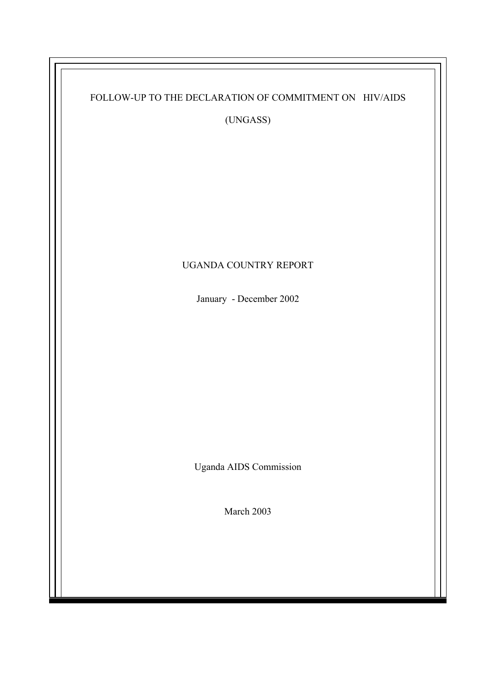| FOLLOW-UP TO THE DECLARATION OF COMMITMENT ON HIV/AIDS<br>(UNGASS) |
|--------------------------------------------------------------------|
|                                                                    |
| UGANDA COUNTRY REPORT                                              |
| January - December 2002                                            |
|                                                                    |
| <b>Uganda AIDS Commission</b>                                      |
| March 2003                                                         |
|                                                                    |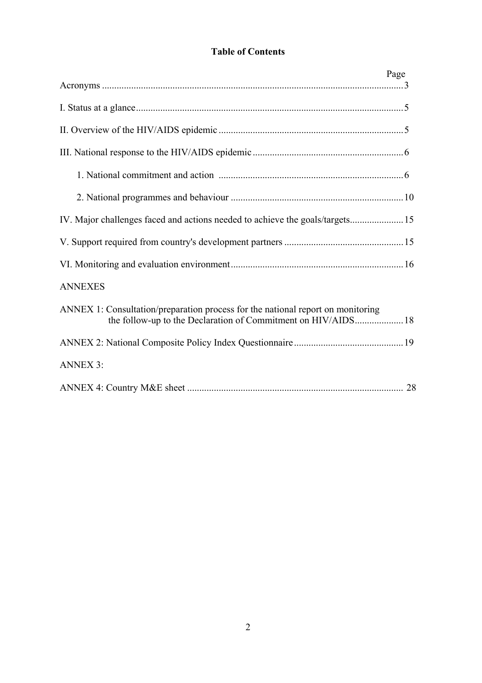# **Table of Contents**

| Page                                                                            |  |
|---------------------------------------------------------------------------------|--|
|                                                                                 |  |
|                                                                                 |  |
|                                                                                 |  |
|                                                                                 |  |
|                                                                                 |  |
| IV. Major challenges faced and actions needed to achieve the goals/targets 15   |  |
|                                                                                 |  |
|                                                                                 |  |
| <b>ANNEXES</b>                                                                  |  |
| ANNEX 1: Consultation/preparation process for the national report on monitoring |  |
|                                                                                 |  |
| <b>ANNEX 3:</b>                                                                 |  |
|                                                                                 |  |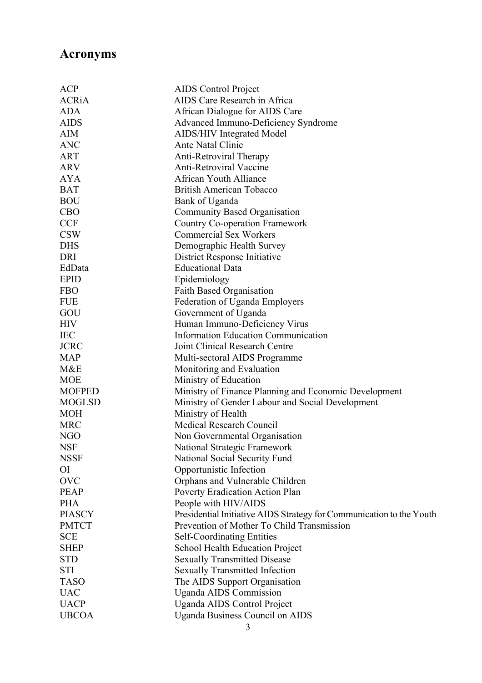# **Acronyms**

| <b>ACP</b>    | AIDS Control Project                                                        |
|---------------|-----------------------------------------------------------------------------|
| <b>ACRiA</b>  | <b>AIDS Care Research in Africa</b>                                         |
| <b>ADA</b>    | African Dialogue for AIDS Care                                              |
| <b>AIDS</b>   | <b>Advanced Immuno-Deficiency Syndrome</b>                                  |
| AIM           | <b>AIDS/HIV Integrated Model</b>                                            |
| <b>ANC</b>    | Ante Natal Clinic                                                           |
| <b>ART</b>    | Anti-Retroviral Therapy                                                     |
| <b>ARV</b>    | <b>Anti-Retroviral Vaccine</b>                                              |
| <b>AYA</b>    | <b>African Youth Alliance</b>                                               |
| <b>BAT</b>    | <b>British American Tobacco</b>                                             |
| <b>BOU</b>    | Bank of Uganda                                                              |
| <b>CBO</b>    | <b>Community Based Organisation</b>                                         |
| <b>CCF</b>    | <b>Country Co-operation Framework</b>                                       |
| <b>CSW</b>    | <b>Commercial Sex Workers</b>                                               |
| <b>DHS</b>    | Demographic Health Survey                                                   |
| DRI           | District Response Initiative                                                |
| EdData        | <b>Educational Data</b>                                                     |
| <b>EPID</b>   | Epidemiology                                                                |
| <b>FBO</b>    | <b>Faith Based Organisation</b>                                             |
| <b>FUE</b>    | Federation of Uganda Employers                                              |
| GOU           |                                                                             |
| <b>HIV</b>    | Government of Uganda                                                        |
| <b>IEC</b>    | Human Immuno-Deficiency Virus<br><b>Information Education Communication</b> |
| <b>JCRC</b>   | Joint Clinical Research Centre                                              |
|               |                                                                             |
| <b>MAP</b>    | Multi-sectoral AIDS Programme                                               |
| M&E           | Monitoring and Evaluation                                                   |
| <b>MOE</b>    | Ministry of Education                                                       |
| <b>MOFPED</b> | Ministry of Finance Planning and Economic Development                       |
| <b>MOGLSD</b> | Ministry of Gender Labour and Social Development                            |
| <b>MOH</b>    | Ministry of Health                                                          |
| <b>MRC</b>    | Medical Research Council                                                    |
| NGO           | Non Governmental Organisation                                               |
| <b>NSF</b>    | National Strategic Framework                                                |
| <b>NSSF</b>   | National Social Security Fund                                               |
| <b>OI</b>     | Opportunistic Infection                                                     |
| <b>OVC</b>    | Orphans and Vulnerable Children                                             |
| <b>PEAP</b>   | Poverty Eradication Action Plan                                             |
| <b>PHA</b>    | People with HIV/AIDS                                                        |
| <b>PIASCY</b> | Presidential Initiative AIDS Strategy for Communication to the Youth        |
| <b>PMTCT</b>  | Prevention of Mother To Child Transmission                                  |
| <b>SCE</b>    | <b>Self-Coordinating Entities</b>                                           |
| <b>SHEP</b>   | <b>School Health Education Project</b>                                      |
| <b>STD</b>    | <b>Sexually Transmitted Disease</b>                                         |
| <b>STI</b>    | <b>Sexually Transmitted Infection</b>                                       |
| <b>TASO</b>   | The AIDS Support Organisation                                               |
| <b>UAC</b>    | <b>Uganda AIDS Commission</b>                                               |
| <b>UACP</b>   | <b>Uganda AIDS Control Project</b>                                          |
| <b>UBCOA</b>  | <b>Uganda Business Council on AIDS</b>                                      |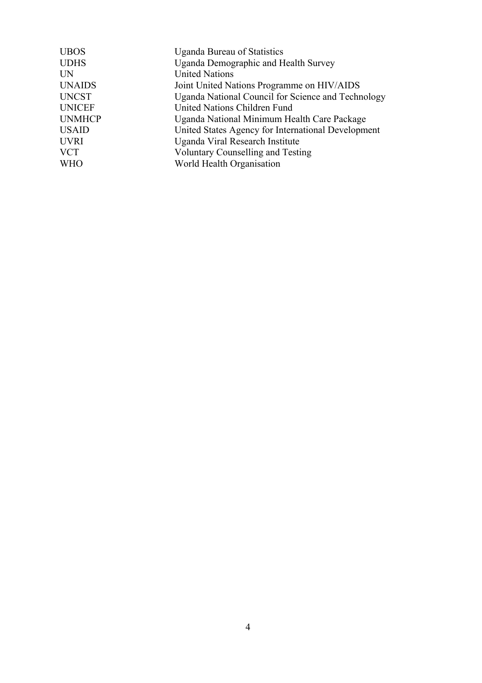| <b>UBOS</b>   | <b>Uganda Bureau of Statistics</b>                 |
|---------------|----------------------------------------------------|
| <b>UDHS</b>   | Uganda Demographic and Health Survey               |
| <b>UN</b>     | <b>United Nations</b>                              |
| <b>UNAIDS</b> | Joint United Nations Programme on HIV/AIDS         |
| <b>UNCST</b>  | Uganda National Council for Science and Technology |
| <b>UNICEF</b> | United Nations Children Fund                       |
| <b>UNMHCP</b> | Uganda National Minimum Health Care Package        |
| <b>USAID</b>  | United States Agency for International Development |
| <b>UVRI</b>   | Uganda Viral Research Institute                    |
| <b>VCT</b>    | <b>Voluntary Counselling and Testing</b>           |
| <b>WHO</b>    | World Health Organisation                          |
|               |                                                    |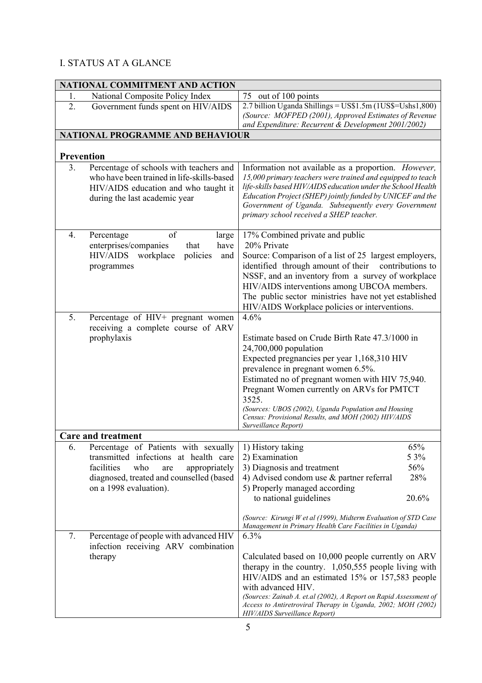# I. STATUS AT A GLANCE

| NATIONAL COMMITMENT AND ACTION |                                                                                                                                                                                                                                            |                                                                                                                                                                                                                                                                                                                                                                                                                           |  |  |
|--------------------------------|--------------------------------------------------------------------------------------------------------------------------------------------------------------------------------------------------------------------------------------------|---------------------------------------------------------------------------------------------------------------------------------------------------------------------------------------------------------------------------------------------------------------------------------------------------------------------------------------------------------------------------------------------------------------------------|--|--|
| 1.                             | National Composite Policy Index                                                                                                                                                                                                            | 75 out of 100 points                                                                                                                                                                                                                                                                                                                                                                                                      |  |  |
| 2.                             | Government funds spent on HIV/AIDS                                                                                                                                                                                                         | 2.7 billion Uganda Shillings = US\$1.5m (1US\$=Ushs1,800)<br>(Source: MOFPED (2001), Approved Estimates of Revenue<br>and Expenditure: Recurrent & Development 2001/2002)                                                                                                                                                                                                                                                 |  |  |
|                                | NATIONAL PROGRAMME AND BEHAVIOUR                                                                                                                                                                                                           |                                                                                                                                                                                                                                                                                                                                                                                                                           |  |  |
|                                |                                                                                                                                                                                                                                            |                                                                                                                                                                                                                                                                                                                                                                                                                           |  |  |
| Prevention                     |                                                                                                                                                                                                                                            |                                                                                                                                                                                                                                                                                                                                                                                                                           |  |  |
| 3 <sub>1</sub>                 | Percentage of schools with teachers and<br>who have been trained in life-skills-based<br>HIV/AIDS education and who taught it<br>during the last academic year                                                                             | Information not available as a proportion. However,<br>15,000 primary teachers were trained and equipped to teach<br>life-skills based HIV/AIDS education under the School Health<br>Education Project (SHEP) jointly funded by UNICEF and the<br>Government of Uganda. Subsequently every Government<br>primary school received a SHEP teacher.                                                                          |  |  |
| 4.                             | of<br>Percentage<br>large<br>enterprises/companies<br>that<br>have<br>policies<br><b>HIV/AIDS</b><br>workplace<br>and<br>programmes                                                                                                        | 17% Combined private and public<br>20% Private<br>Source: Comparison of a list of 25 largest employers,<br>identified through amount of their<br>contributions to<br>NSSF, and an inventory from a survey of workplace<br>HIV/AIDS interventions among UBCOA members.<br>The public sector ministries have not yet established<br>HIV/AIDS Workplace policies or interventions.                                           |  |  |
| 5.                             | Percentage of HIV+ pregnant women<br>receiving a complete course of ARV<br>prophylaxis                                                                                                                                                     | 4.6%<br>Estimate based on Crude Birth Rate 47.3/1000 in<br>$24,700,000$ population<br>Expected pregnancies per year 1,168,310 HIV<br>prevalence in pregnant women 6.5%.<br>Estimated no of pregnant women with HIV 75,940.<br>Pregnant Women currently on ARVs for PMTCT<br>3525.<br>(Sources: UBOS (2002), Uganda Population and Housing<br>Census: Provisional Results, and MOH (2002) HIV/AIDS<br>Surveillance Report) |  |  |
|                                | <b>Care and treatment</b>                                                                                                                                                                                                                  |                                                                                                                                                                                                                                                                                                                                                                                                                           |  |  |
| 6.<br>7.                       | Percentage of Patients with sexually<br>transmitted infections at health care<br>facilities<br>who<br>appropriately<br>are<br>diagnosed, treated and counselled (based<br>on a 1998 evaluation).<br>Percentage of people with advanced HIV | 65%<br>1) History taking<br>5 3%<br>2) Examination<br>56%<br>3) Diagnosis and treatment<br>28%<br>4) Advised condom use $\&$ partner referral<br>5) Properly managed according<br>to national guidelines<br>20.6%<br>(Source: Kirungi W et al (1999), Midterm Evaluation of STD Case<br>Management in Primary Health Care Facilities in Uganda)<br>6.3%                                                                   |  |  |
|                                | infection receiving ARV combination<br>therapy                                                                                                                                                                                             | Calculated based on 10,000 people currently on ARV<br>therapy in the country. $1,050,555$ people living with<br>HIV/AIDS and an estimated 15% or 157,583 people<br>with advanced HIV.<br>(Sources: Zainab A. et.al (2002), A Report on Rapid Assessment of<br>Access to Antiretroviral Therapy in Uganda, 2002; MOH (2002)<br>HIV/AIDS Surveillance Report)                                                               |  |  |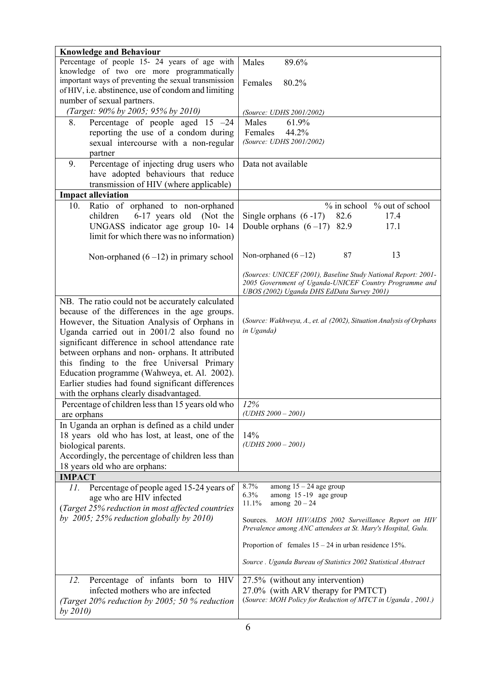| <b>Knowledge and Behaviour</b>                       |                                                                     |
|------------------------------------------------------|---------------------------------------------------------------------|
| Percentage of people 15- 24 years of age with        | Males<br>89.6%                                                      |
| knowledge of two ore more programmatically           |                                                                     |
| important ways of preventing the sexual transmission | Females<br>80.2%                                                    |
| of HIV, i.e. abstinence, use of condom and limiting  |                                                                     |
| number of sexual partners.                           |                                                                     |
| (Target: 90% by 2005; 95% by 2010)                   | (Source: UDHS 2001/2002)                                            |
| Percentage of people aged $15 -24$<br>8.             | Males<br>61.9%                                                      |
| reporting the use of a condom during                 | Females<br>44.2%                                                    |
| sexual intercourse with a non-regular                | (Source: UDHS 2001/2002)                                            |
| partner                                              |                                                                     |
|                                                      |                                                                     |
| 9.<br>Percentage of injecting drug users who         | Data not available                                                  |
| have adopted behaviours that reduce                  |                                                                     |
| transmission of HIV (where applicable)               |                                                                     |
| <b>Impact alleviation</b>                            |                                                                     |
| 10.<br>Ratio of orphaned to non-orphaned             | % in school % out of school                                         |
| 6-17 years old<br>children<br>(Not the               | Single orphans $(6-17)$<br>82.6<br>17.4                             |
| UNGASS indicator age group 10-14                     | Double orphans $(6-17)$ 82.9<br>17.1                                |
| limit for which there was no information)            |                                                                     |
|                                                      |                                                                     |
| Non-orphaned $(6-12)$ in primary school              | 87<br>13<br>Non-orphaned $(6-12)$                                   |
|                                                      |                                                                     |
|                                                      | (Sources: UNICEF (2001), Baseline Study National Report: 2001-      |
|                                                      | 2005 Government of Uganda-UNICEF Country Programme and              |
|                                                      | UBOS (2002) Uganda DHS EdData Survey 2001)                          |
| NB. The ratio could not be accurately calculated     |                                                                     |
| because of the differences in the age groups.        |                                                                     |
| However, the Situation Analysis of Orphans in        | (Source: Wakhweya, A., et. al (2002), Situation Analysis of Orphans |
| Uganda carried out in 2001/2 also found no           | in Uganda)                                                          |
|                                                      |                                                                     |
| significant difference in school attendance rate     |                                                                     |
| between orphans and non- orphans. It attributed      |                                                                     |
| this finding to the free Universal Primary           |                                                                     |
| Education programme (Wahweya, et. Al. 2002).         |                                                                     |
| Earlier studies had found significant differences    |                                                                     |
| with the orphans clearly disadvantaged.              |                                                                     |
| Percentage of children less than 15 years old who    | 12%                                                                 |
| are orphans                                          | $(UDHS 2000 - 2001)$                                                |
| In Uganda an orphan is defined as a child under      |                                                                     |
| 18 years old who has lost, at least, one of the      | 14%                                                                 |
| biological parents.                                  | $(UDHS 2000 - 2001)$                                                |
|                                                      |                                                                     |
| Accordingly, the percentage of children less than    |                                                                     |
| 18 years old who are orphans:                        |                                                                     |
| <b>IMPACT</b>                                        |                                                                     |
| Percentage of people aged 15-24 years of<br>11.      | 8.7%<br>among $15 - 24$ age group<br>6.3%<br>among 15 -19 age group |
| age who are HIV infected                             | 11.1%<br>among $20 - 24$                                            |
| (Target 25% reduction in most affected countries     |                                                                     |
| by 2005; 25% reduction globally by 2010)             | Sources. MOH HIV/AIDS 2002 Surveillance Report on HIV               |
|                                                      | Prevalence among ANC attendees at St. Mary's Hospital, Gulu.        |
|                                                      | Proportion of females $15 - 24$ in urban residence 15%.             |
|                                                      | Source . Uganda Bureau of Statistics 2002 Statistical Abstract      |
|                                                      |                                                                     |
| Percentage of infants born to HIV<br>12.             | 27.5% (without any intervention)                                    |
| infected mothers who are infected                    | 27.0% (with ARV therapy for PMTCT)                                  |
| (Target 20% reduction by 2005; 50 % reduction        | (Source: MOH Policy for Reduction of MTCT in Uganda, 2001.)         |
| by 2010                                              |                                                                     |
|                                                      |                                                                     |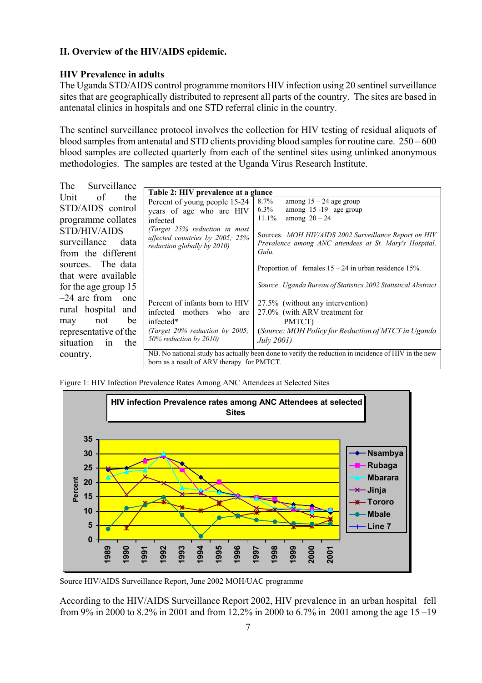### **II. Overview of the HIV/AIDS epidemic.**

### **HIV Prevalence in adults**

The Uganda STD/AIDS control programme monitors HIV infection using 20 sentinel surveillance sites that are geographically distributed to represent all parts of the country. The sites are based in antenatal clinics in hospitals and one STD referral clinic in the country.

The sentinel surveillance protocol involves the collection for HIV testing of residual aliquots of blood samples from antenatal and STD clients providing blood samples for routine care. 250 – 600 blood samples are collected quarterly from each of the sentinel sites using unlinked anonymous methodologies. The samples are tested at the Uganda Virus Research Institute.

| Surveillance<br>The    |                                                                                                     |                                                                                                                 |
|------------------------|-----------------------------------------------------------------------------------------------------|-----------------------------------------------------------------------------------------------------------------|
| of                     | Table 2: HIV prevalence at a glance                                                                 |                                                                                                                 |
| Unit<br>the            | Percent of young people 15-24                                                                       | $8.7\%$<br>among $15 - 24$ age group                                                                            |
| STD/AIDS control       | years of age who are HIV                                                                            | $6.3\%$<br>among $15 - 19$ age group                                                                            |
| programme collates     | infected                                                                                            | 11.1%<br>among $20 - 24$                                                                                        |
| STD/HIV/AIDS           | (Target 25% reduction in most                                                                       |                                                                                                                 |
| surveillance<br>data   | affected countries by 2005; 25%                                                                     | Sources. MOH HIV/AIDS 2002 Surveillance Report on HIV<br>Prevalence among ANC attendees at St. Mary's Hospital, |
|                        | reduction globally by 2010)                                                                         | Gulu.                                                                                                           |
| from the different     |                                                                                                     |                                                                                                                 |
| sources. The data      |                                                                                                     | Proportion of females $15 - 24$ in urban residence 15%.                                                         |
| that were available    |                                                                                                     |                                                                                                                 |
| for the age group 15   |                                                                                                     | Source . Uganda Bureau of Statistics 2002 Statistical Abstract                                                  |
| $-24$ are from<br>one  |                                                                                                     |                                                                                                                 |
|                        | Percent of infants born to HIV                                                                      | 27.5% (without any intervention)                                                                                |
| rural hospital<br>and  | infected mothers who are                                                                            | 27.0% (with ARV treatment for                                                                                   |
| be<br>not<br>may       | infected*                                                                                           | PMTCT)                                                                                                          |
| representative of the  | (Target $20\%$ reduction by $2005$ ;                                                                | (Source: MOH Policy for Reduction of MTCT in Uganda)                                                            |
| situation<br>the<br>1n | 50% reduction by 2010)                                                                              | July 2001)                                                                                                      |
|                        |                                                                                                     |                                                                                                                 |
| country.               | NB. No national study has actually been done to verify the reduction in incidence of HIV in the new |                                                                                                                 |
|                        | born as a result of ARV therapy for PMTCT.                                                          |                                                                                                                 |

Figure 1: HIV Infection Prevalence Rates Among ANC Attendees at Selected Sites



Source HIV/AIDS Surveillance Report, June 2002 MOH/UAC programme

According to the HIV/AIDS Surveillance Report 2002, HIV prevalence in an urban hospital fell from 9% in 2000 to 8.2% in 2001 and from 12.2% in 2000 to 6.7% in 2001 among the age 15 –19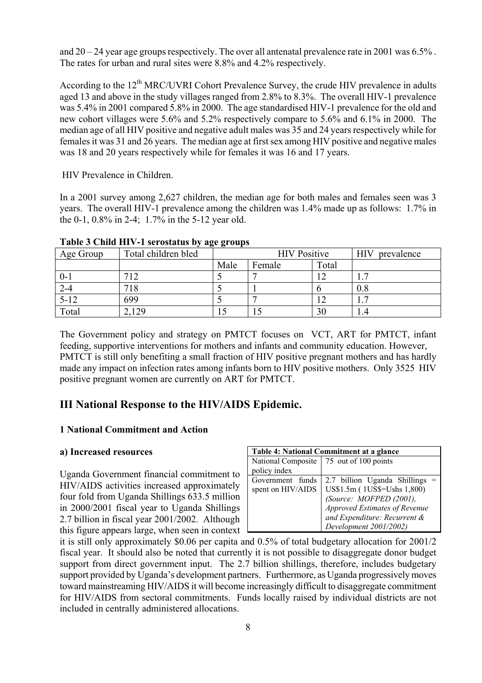and  $20 - 24$  year age groups respectively. The over all antenatal prevalence rate in 2001 was 6.5%. The rates for urban and rural sites were 8.8% and 4.2% respectively.

According to the 12<sup>th</sup> MRC/UVRI Cohort Prevalence Survey, the crude HIV prevalence in adults aged 13 and above in the study villages ranged from 2.8% to 8.3%. The overall HIV-1 prevalence was 5.4% in 2001 compared 5.8% in 2000. The age standardised HIV-1 prevalence for the old and new cohort villages were 5.6% and 5.2% respectively compare to 5.6% and 6.1% in 2000. The median age of all HIV positive and negative adult males was 35 and 24 years respectively while for females it was 31 and 26 years. The median age at first sex among HIV positive and negative males was 18 and 20 years respectively while for females it was 16 and 17 years.

HIV Prevalence in Children.

In a 2001 survey among 2,627 children, the median age for both males and females seen was 3 years. The overall HIV-1 prevalence among the children was 1.4% made up as follows: 1.7% in the 0-1, 0.8% in 2-4; 1.7% in the 5-12 year old.

| Age Group | Total children bled | 88<br><b>HIV</b> Positive<br><b>HIV</b> |        |       | prevalence |
|-----------|---------------------|-----------------------------------------|--------|-------|------------|
|           |                     | Male                                    | Female | Total |            |
| $0 - 1$   | 712                 |                                         |        |       | _          |
| $2 - 4$   | 718                 |                                         |        |       | $0.8\,$    |
| $5 - 12$  | 699                 |                                         | -      |       | _          |
| Total     | 129                 | 15                                      |        | 30    | . 4        |

**Table 3 Child HIV-1 serostatus by age groups** 

The Government policy and strategy on PMTCT focuses on VCT, ART for PMTCT, infant feeding, supportive interventions for mothers and infants and community education. However, PMTCT is still only benefiting a small fraction of HIV positive pregnant mothers and has hardly made any impact on infection rates among infants born to HIV positive mothers. Only 3525 HIV positive pregnant women are currently on ART for PMTCT.

# **III National Response to the HIV/AIDS Epidemic.**

### **1 National Commitment and Action**

#### **a) Increased resources**

Uganda Government financial commitment to HIV/AIDS activities increased approximately four fold from Uganda Shillings 633.5 million in 2000/2001 fiscal year to Uganda Shillings 2.7 billion in fiscal year 2001/2002. Although this figure appears large, when seen in context

| Table 4: National Commitment at a glance |                                           |  |  |
|------------------------------------------|-------------------------------------------|--|--|
|                                          | National Composite   75 out of 100 points |  |  |
| policy index                             |                                           |  |  |
| Government funds                         | 2.7 billion Uganda Shillings              |  |  |
| spent on HIV/AIDS                        | US\$1.5m (1US\$=Ushs 1,800)               |  |  |
|                                          | (Source: MOFPED (2001),                   |  |  |
|                                          | Approved Estimates of Revenue             |  |  |
|                                          | and Expenditure: Recurrent &              |  |  |
|                                          | Development 2001/2002)                    |  |  |

it is still only approximately \$0.06 per capita and 0.5% of total budgetary allocation for 2001/2 fiscal year. It should also be noted that currently it is not possible to disaggregate donor budget support from direct government input. The 2.7 billion shillings, therefore, includes budgetary support provided by Uganda's development partners. Furthermore, as Uganda progressively moves toward mainstreaming HIV/AIDS it will become increasingly difficult to disaggregate commitment for HIV/AIDS from sectoral commitments. Funds locally raised by individual districts are not included in centrally administered allocations.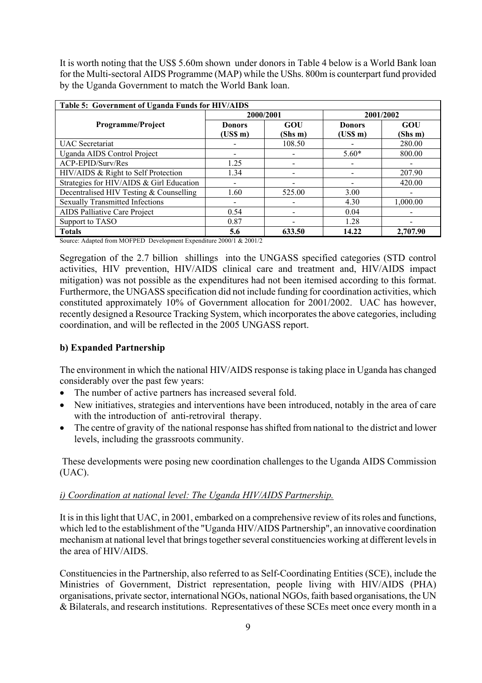It is worth noting that the US\$ 5.60m shown under donors in Table 4 below is a World Bank loan for the Multi-sectoral AIDS Programme (MAP) while the UShs. 800m is counterpart fund provided by the Uganda Government to match the World Bank loan.

| Table 5: Government of Uganda Funds for HIV/AIDS |               |                          |               |          |
|--------------------------------------------------|---------------|--------------------------|---------------|----------|
|                                                  | 2000/2001     |                          | 2001/2002     |          |
| Programme/Project                                | <b>Donors</b> | GOU                      | <b>Donors</b> | GOU      |
|                                                  | (USS m)       | (Shs m)                  | (USS m)       | (Shs m)  |
| <b>UAC</b> Secretariat                           |               | 108.50                   |               | 280.00   |
| Uganda AIDS Control Project                      |               |                          | $5.60*$       | 800.00   |
| ACP-EPID/Surv/Res                                | 1.25          |                          |               |          |
| HIV/AIDS & Right to Self Protection              | 1.34          |                          |               | 207.90   |
| Strategies for HIV/AIDS & Girl Education         |               | $\overline{\phantom{a}}$ |               | 420.00   |
| Decentralised HIV Testing & Counselling          | 1.60          | 525.00                   | 3.00          |          |
| <b>Sexually Transmitted Infections</b>           |               | $\overline{\phantom{a}}$ | 4.30          | 1,000.00 |
| AIDS Palliative Care Project                     | 0.54          | -                        | 0.04          |          |
| Support to TASO                                  | 0.87          |                          | 1.28          |          |
| <b>Totals</b>                                    | 5.6           | 633.50                   | 14.22         | 2,707.90 |

Source: Adapted from MOFPED Development Expenditure 2000/1 & 2001/2

Segregation of the 2.7 billion shillings into the UNGASS specified categories (STD control activities, HIV prevention, HIV/AIDS clinical care and treatment and, HIV/AIDS impact mitigation) was not possible as the expenditures had not been itemised according to this format. Furthermore, the UNGASS specification did not include funding for coordination activities, which constituted approximately 10% of Government allocation for 2001/2002. UAC has however, recently designed a Resource Tracking System, which incorporates the above categories, including coordination, and will be reflected in the 2005 UNGASS report.

### **b) Expanded Partnership**

The environment in which the national HIV/AIDS response is taking place in Uganda has changed considerably over the past few years:

- The number of active partners has increased several fold.
- New initiatives, strategies and interventions have been introduced, notably in the area of care with the introduction of anti-retroviral therapy.
- The centre of gravity of the national response has shifted from national to the district and lower levels, including the grassroots community.

 These developments were posing new coordination challenges to the Uganda AIDS Commission (UAC).

### *i) Coordination at national level: The Uganda HIV/AIDS Partnership.*

It is in this light that UAC, in 2001, embarked on a comprehensive review of its roles and functions, which led to the establishment of the "Uganda HIV/AIDS Partnership", an innovative coordination mechanism at national level that brings together several constituencies working at different levels in the area of HIV/AIDS.

Constituencies in the Partnership, also referred to as Self-Coordinating Entities (SCE), include the Ministries of Government, District representation, people living with HIV/AIDS (PHA) organisations, private sector, international NGOs, national NGOs, faith based organisations, the UN & Bilaterals, and research institutions. Representatives of these SCEs meet once every month in a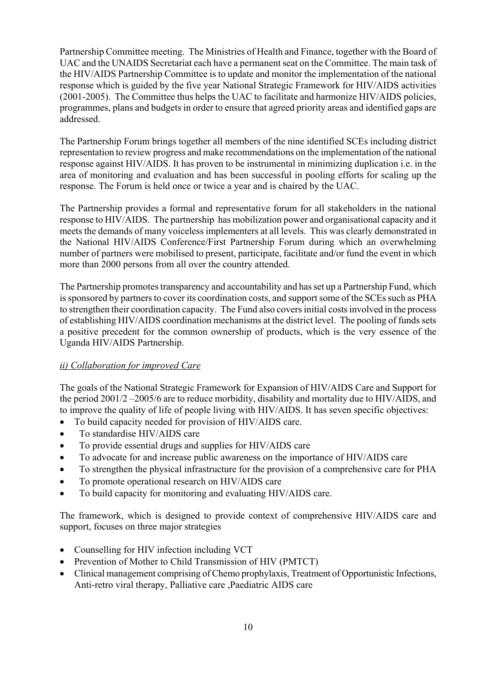Partnership Committee meeting. The Ministries of Health and Finance, together with the Board of UAC and the UNAIDS Secretariat each have a permanent seat on the Committee. The main task of the HIV/AIDS Partnership Committee is to update and monitor the implementation of the national response which is guided by the five year National Strategic Framework for HIV/AIDS activities (2001-2005). The Committee thus helps the UAC to facilitate and harmonize HIV/AIDS policies, programmes, plans and budgets in order to ensure that agreed priority areas and identified gaps are addressed.

The Partnership Forum brings together all members of the nine identified SCEs including district representation to review progress and make recommendations on the implementation of the national response against HIV/AIDS. It has proven to be instrumental in minimizing duplication i.e. in the area of monitoring and evaluation and has been successful in pooling efforts for scaling up the response. The Forum is held once or twice a year and is chaired by the UAC.

The Partnership provides a formal and representative forum for all stakeholders in the national response to HIV/AIDS. The partnership has mobilization power and organisational capacity and it meets the demands of many voiceless implementers at all levels. This was clearly demonstrated in the National HIV/AIDS Conference/First Partnership Forum during which an overwhelming number of partners were mobilised to present, participate, facilitate and/or fund the event in which more than 2000 persons from all over the country attended.

The Partnership promotes transparency and accountability and has set up a Partnership Fund, which is sponsored by partners to cover its coordination costs, and support some of the SCEs such as PHA to strengthen their coordination capacity. The Fund also covers initial costs involved in the process of establishing HIV/AIDS coordination mechanisms at the district level. The pooling of funds sets a positive precedent for the common ownership of products, which is the very essence of the Uganda HIV/AIDS Partnership.

#### *ii) Collaboration for improved Care*

The goals of the National Strategic Framework for Expansion of HIV/AIDS Care and Support for the period 2001/2 –2005/6 are to reduce morbidity, disability and mortality due to HIV/AIDS, and to improve the quality of life of people living with HIV/AIDS. It has seven specific objectives:

- To build capacity needed for provision of HIV/AIDS care.
- To standardise HIV/AIDS care
- To provide essential drugs and supplies for HIV/AIDS care
- To advocate for and increase public awareness on the importance of HIV/AIDS care
- To strengthen the physical infrastructure for the provision of a comprehensive care for PHA
- To promote operational research on HIV/AIDS care
- To build capacity for monitoring and evaluating HIV/AIDS care.

The framework, which is designed to provide context of comprehensive HIV/AIDS care and support, focuses on three major strategies

- Counselling for HIV infection including VCT
- Prevention of Mother to Child Transmission of HIV (PMTCT)
- Clinical management comprising of Chemo prophylaxis, Treatment of Opportunistic Infections, Anti-retro viral therapy, Palliative care ,Paediatric AIDS care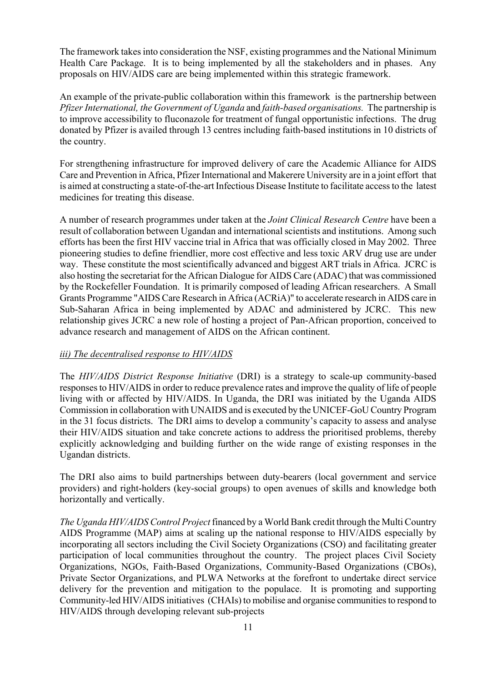The framework takes into consideration the NSF, existing programmes and the National Minimum Health Care Package. It is to being implemented by all the stakeholders and in phases. Any proposals on HIV/AIDS care are being implemented within this strategic framework.

An example of the private-public collaboration within this framework is the partnership between *Pfizer International, the Government of Uganda* and *faith-based organisations.* The partnership is to improve accessibility to fluconazole for treatment of fungal opportunistic infections. The drug donated by Pfizer is availed through 13 centres including faith-based institutions in 10 districts of the country.

For strengthening infrastructure for improved delivery of care the Academic Alliance for AIDS Care and Prevention in Africa, Pfizer International and Makerere University are in a joint effort that is aimed at constructing a state-of-the-art Infectious Disease Institute to facilitate access to the latest medicines for treating this disease.

A number of research programmes under taken at the *Joint Clinical Research Centre* have been a result of collaboration between Ugandan and international scientists and institutions. Among such efforts has been the first HIV vaccine trial in Africa that was officially closed in May 2002. Three pioneering studies to define friendlier, more cost effective and less toxic ARV drug use are under way. These constitute the most scientifically advanced and biggest ART trials in Africa. JCRC is also hosting the secretariat for the African Dialogue for AIDS Care (ADAC) that was commissioned by the Rockefeller Foundation. It is primarily composed of leading African researchers. A Small Grants Programme "AIDS Care Research in Africa (ACRiA)" to accelerate research in AIDS care in Sub-Saharan Africa in being implemented by ADAC and administered by JCRC. This new relationship gives JCRC a new role of hosting a project of Pan-African proportion, conceived to advance research and management of AIDS on the African continent.

### *iii) The decentralised response to HIV/AIDS*

The *HIV/AIDS District Response Initiative* (DRI) is a strategy to scale-up community-based responses to HIV/AIDS in order to reduce prevalence rates and improve the quality of life of people living with or affected by HIV/AIDS. In Uganda, the DRI was initiated by the Uganda AIDS Commission in collaboration with UNAIDS and is executed by the UNICEF-GoU Country Program in the 31 focus districts. The DRI aims to develop a community's capacity to assess and analyse their HIV/AIDS situation and take concrete actions to address the prioritised problems, thereby explicitly acknowledging and building further on the wide range of existing responses in the Ugandan districts.

The DRI also aims to build partnerships between duty-bearers (local government and service providers) and right-holders (key-social groups) to open avenues of skills and knowledge both horizontally and vertically.

*The Uganda HIV/AIDS Control Project* financed by a World Bank credit through the Multi Country AIDS Programme (MAP) aims at scaling up the national response to HIV/AIDS especially by incorporating all sectors including the Civil Society Organizations (CSO) and facilitating greater participation of local communities throughout the country. The project places Civil Society Organizations, NGOs, Faith-Based Organizations, Community-Based Organizations (CBOs), Private Sector Organizations, and PLWA Networks at the forefront to undertake direct service delivery for the prevention and mitigation to the populace. It is promoting and supporting Community-led HIV/AIDS initiatives (CHAIs) to mobilise and organise communities to respond to HIV/AIDS through developing relevant sub-projects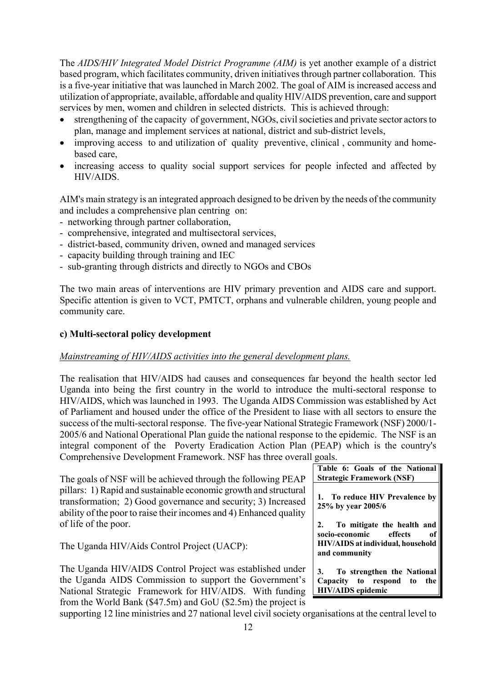The *AIDS/HIV Integrated Model District Programme (AIM)* is yet another example of a district based program, which facilitates community, driven initiatives through partner collaboration. This is a five-year initiative that was launched in March 2002. The goal of AIM is increased access and utilization of appropriate, available, affordable and quality HIV/AIDS prevention, care and support services by men, women and children in selected districts. This is achieved through:

- strengthening of the capacity of government, NGOs, civil societies and private sector actors to plan, manage and implement services at national, district and sub-district levels,
- improving access to and utilization of quality preventive, clinical, community and homebased care,
- increasing access to quality social support services for people infected and affected by HIV/AIDS.

AIM's main strategy is an integrated approach designed to be driven by the needs of the community and includes a comprehensive plan centring on:

- networking through partner collaboration,
- comprehensive, integrated and multisectoral services,
- district-based, community driven, owned and managed services
- capacity building through training and IEC
- sub-granting through districts and directly to NGOs and CBOs

The two main areas of interventions are HIV primary prevention and AIDS care and support. Specific attention is given to VCT, PMTCT, orphans and vulnerable children, young people and community care.

### **c) Multi-sectoral policy development**

#### *Mainstreaming of HIV/AIDS activities into the general development plans.*

The realisation that HIV/AIDS had causes and consequences far beyond the health sector led Uganda into being the first country in the world to introduce the multi-sectoral response to HIV/AIDS, which was launched in 1993. The Uganda AIDS Commission was established by Act of Parliament and housed under the office of the President to liase with all sectors to ensure the success of the multi-sectoral response. The five-year National Strategic Framework (NSF) 2000/1- 2005/6 and National Operational Plan guide the national response to the epidemic. The NSF is an integral component of the Poverty Eradication Action Plan (PEAP) which is the country's Comprehensive Development Framework. NSF has three overall goals.

| The goals of NSF will be achieved through the following PEAP                                                                                                                                            | Table 6: Goals of the National<br><b>Strategic Framework (NSF)</b>                    |
|---------------------------------------------------------------------------------------------------------------------------------------------------------------------------------------------------------|---------------------------------------------------------------------------------------|
| pillars: 1) Rapid and sustainable economic growth and structural<br>transformation; 2) Good governance and security; 3) Increased<br>ability of the poor to raise their incomes and 4) Enhanced quality | 1. To reduce HIV Prevalence by<br>25% by year 2005/6                                  |
| of life of the poor.                                                                                                                                                                                    | To mitigate the health and                                                            |
| The Uganda HIV/Aids Control Project (UACP):                                                                                                                                                             | socio-economic<br>effects<br>of<br>HIV/AIDS at individual, household<br>and community |
| The Uganda HIV/AIDS Control Project was established under                                                                                                                                               | To strengthen the National<br>3.                                                      |
| the Uganda AIDS Commission to support the Government's                                                                                                                                                  | Capacity to respond to the                                                            |
| National Strategic Framework for HIV/AIDS. With funding                                                                                                                                                 | <b>HIV/AIDS</b> epidemic                                                              |
| from the World Bank $(\$47.5m)$ and GoU $(\$2.5m)$ the project is                                                                                                                                       |                                                                                       |

supporting 12 line ministries and 27 national level civil society organisations at the central level to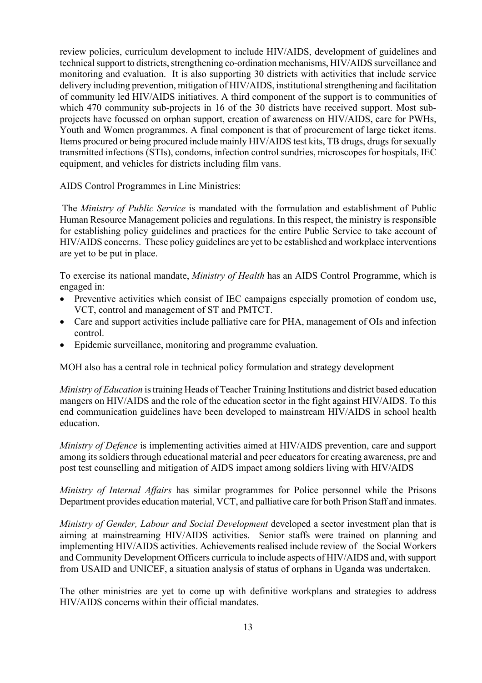review policies, curriculum development to include HIV/AIDS, development of guidelines and technical support to districts, strengthening co-ordination mechanisms, HIV/AIDS surveillance and monitoring and evaluation. It is also supporting 30 districts with activities that include service delivery including prevention, mitigation of HIV/AIDS, institutional strengthening and facilitation of community led HIV/AIDS initiatives. A third component of the support is to communities of which 470 community sub-projects in 16 of the 30 districts have received support. Most subprojects have focussed on orphan support, creation of awareness on HIV/AIDS, care for PWHs, Youth and Women programmes. A final component is that of procurement of large ticket items. Items procured or being procured include mainly HIV/AIDS test kits, TB drugs, drugs for sexually transmitted infections (STIs), condoms, infection control sundries, microscopes for hospitals, IEC equipment, and vehicles for districts including film vans.

AIDS Control Programmes in Line Ministries:

 The *Ministry of Public Service* is mandated with the formulation and establishment of Public Human Resource Management policies and regulations. In this respect, the ministry is responsible for establishing policy guidelines and practices for the entire Public Service to take account of HIV/AIDS concerns. These policy guidelines are yet to be established and workplace interventions are yet to be put in place.

To exercise its national mandate, *Ministry of Health* has an AIDS Control Programme, which is engaged in:

- Preventive activities which consist of IEC campaigns especially promotion of condom use, VCT, control and management of ST and PMTCT.
- Care and support activities include palliative care for PHA, management of OIs and infection control.
- Epidemic surveillance, monitoring and programme evaluation.

MOH also has a central role in technical policy formulation and strategy development

*Ministry of Education* is training Heads of Teacher Training Institutions and district based education mangers on HIV/AIDS and the role of the education sector in the fight against HIV/AIDS. To this end communication guidelines have been developed to mainstream HIV/AIDS in school health education.

*Ministry of Defence* is implementing activities aimed at HIV/AIDS prevention, care and support among its soldiers through educational material and peer educators for creating awareness, pre and post test counselling and mitigation of AIDS impact among soldiers living with HIV/AIDS

*Ministry of Internal Affairs* has similar programmes for Police personnel while the Prisons Department provides education material, VCT, and palliative care for both Prison Staff and inmates.

*Ministry of Gender, Labour and Social Development* developed a sector investment plan that is aiming at mainstreaming HIV/AIDS activities. Senior staffs were trained on planning and implementing HIV/AIDS activities. Achievements realised include review of the Social Workers and Community Development Officers curricula to include aspects of HIV/AIDS and, with support from USAID and UNICEF, a situation analysis of status of orphans in Uganda was undertaken.

The other ministries are yet to come up with definitive workplans and strategies to address HIV/AIDS concerns within their official mandates.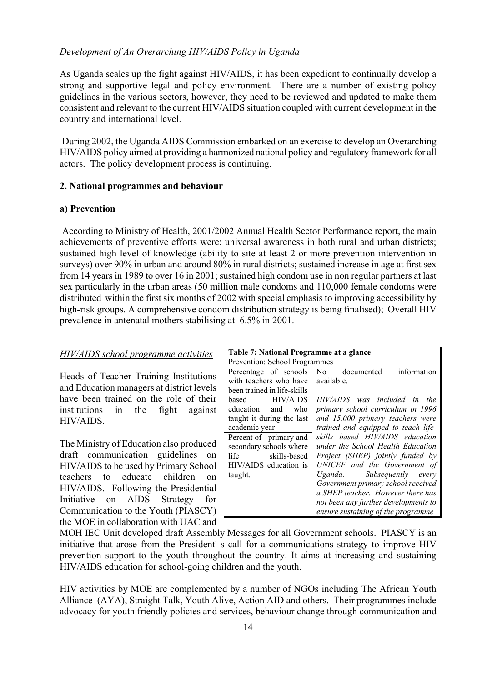### *Development of An Overarching HIV/AIDS Policy in Uganda*

As Uganda scales up the fight against HIV/AIDS, it has been expedient to continually develop a strong and supportive legal and policy environment. There are a number of existing policy guidelines in the various sectors, however, they need to be reviewed and updated to make them consistent and relevant to the current HIV/AIDS situation coupled with current development in the country and international level.

 During 2002, the Uganda AIDS Commission embarked on an exercise to develop an Overarching HIV/AIDS policy aimed at providing a harmonized national policy and regulatory framework for all actors. The policy development process is continuing.

### **2. National programmes and behaviour**

### **a) Prevention**

 According to Ministry of Health, 2001/2002 Annual Health Sector Performance report, the main achievements of preventive efforts were: universal awareness in both rural and urban districts; sustained high level of knowledge (ability to site at least 2 or more prevention intervention in surveys) over 90% in urban and around 80% in rural districts; sustained increase in age at first sex from 14 years in 1989 to over 16 in 2001; sustained high condom use in non regular partners at last sex particularly in the urban areas (50 million male condoms and 110,000 female condoms were distributed within the first six months of 2002 with special emphasis to improving accessibility by high-risk groups. A comprehensive condom distribution strategy is being finalised); Overall HIV prevalence in antenatal mothers stabilising at 6.5% in 2001.

### *HIV/AIDS school programme activities*

Heads of Teacher Training Institutions and Education managers at district levels have been trained on the role of their institutions in the fight against HIV/AIDS.

The Ministry of Education also produced draft communication guidelines on HIV/AIDS to be used by Primary School teachers to educate children on HIV/AIDS. Following the Presidential Initiative on AIDS Strategy for Communication to the Youth (PIASCY) the MOE in collaboration with UAC and

| Table 7: National Programme at a glance |                                             |
|-----------------------------------------|---------------------------------------------|
| Prevention: School Programmes           |                                             |
| Percentage of schools                   | information<br>N <sub>0</sub><br>documented |
| with teachers who have                  | available.                                  |
| been trained in life-skills             |                                             |
| <b>HIV/AIDS</b><br>based                | HIV/AIDS was included in<br>the             |
| education and<br>who                    | primary school curriculum in 1996           |
| taught it during the last               | and 15,000 primary teachers were            |
| academic year                           | trained and equipped to teach life-         |
| Percent of primary and                  | skills based HIV/AIDS education             |
| secondary schools where                 | under the School Health Education           |
| life<br>skills-based                    | Project (SHEP) jointly funded by            |
| HIV/AIDS education is                   | UNICEF and the Government of                |
| taught.                                 | Uganda. Subsequently every                  |
|                                         | Government primary school received          |
|                                         | a SHEP teacher. However there has           |
|                                         | not been any further developments to        |
|                                         | ensure sustaining of the programme          |

MOH IEC Unit developed draft Assembly Messages for all Government schools. PIASCY is an initiative that arose from the President' s call for a communications strategy to improve HIV prevention support to the youth throughout the country. It aims at increasing and sustaining HIV/AIDS education for school-going children and the youth.

HIV activities by MOE are complemented by a number of NGOs including The African Youth Alliance (AYA), Straight Talk, Youth Alive, Action AID and others. Their programmes include advocacy for youth friendly policies and services, behaviour change through communication and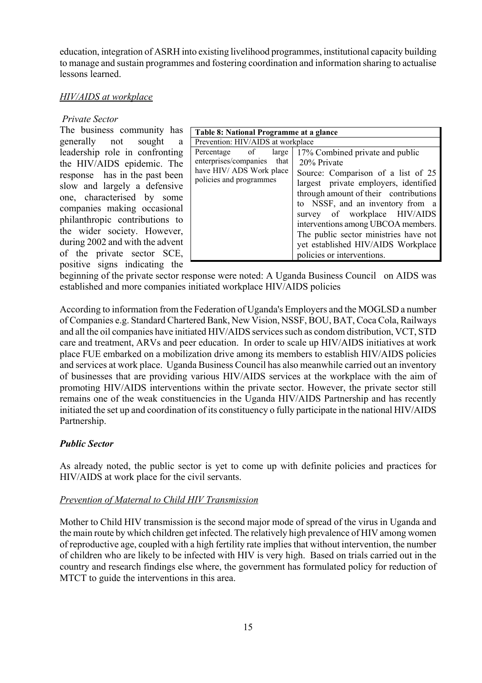education, integration of ASRH into existing livelihood programmes, institutional capacity building to manage and sustain programmes and fostering coordination and information sharing to actualise lessons learned.

#### *HIV/AIDS at workplace*

#### *Private Sector*

The business community has generally not sought a leadership role in confronting the HIV/AIDS epidemic. The response has in the past been slow and largely a defensive one, characterised by some companies making occasional philanthropic contributions to the wider society. However, during 2002 and with the advent of the private sector SCE, positive signs indicating the

| Table 8: National Programme at a glance                                                                     |                                                                                                                                                                                                                                                                                                                                                                                               |
|-------------------------------------------------------------------------------------------------------------|-----------------------------------------------------------------------------------------------------------------------------------------------------------------------------------------------------------------------------------------------------------------------------------------------------------------------------------------------------------------------------------------------|
| Prevention: HIV/AIDS at workplace                                                                           |                                                                                                                                                                                                                                                                                                                                                                                               |
| Percentage of<br>large<br>enterprises/companies that<br>have HIV/ ADS Work place<br>policies and programmes | 17% Combined private and public<br>20% Private<br>Source: Comparison of a list of 25<br>largest private employers, identified<br>through amount of their contributions<br>to NSSF, and an inventory from a<br>survey of workplace HIV/AIDS<br>interventions among UBCOA members.<br>The public sector ministries have not<br>yet established HIV/AIDS Workplace<br>policies or interventions. |

beginning of the private sector response were noted: A Uganda Business Council on AIDS was established and more companies initiated workplace HIV/AIDS policies

According to information from the Federation of Uganda's Employers and the MOGLSD a number of Companies e.g. Standard Chartered Bank, New Vision, NSSF, BOU, BAT, Coca Cola, Railways and all the oil companies have initiated HIV/AIDS services such as condom distribution, VCT, STD care and treatment, ARVs and peer education. In order to scale up HIV/AIDS initiatives at work place FUE embarked on a mobilization drive among its members to establish HIV/AIDS policies and services at work place. Uganda Business Council has also meanwhile carried out an inventory of businesses that are providing various HIV/AIDS services at the workplace with the aim of promoting HIV/AIDS interventions within the private sector. However, the private sector still remains one of the weak constituencies in the Uganda HIV/AIDS Partnership and has recently initiated the set up and coordination of its constituency o fully participate in the national HIV/AIDS Partnership.

### *Public Sector*

As already noted, the public sector is yet to come up with definite policies and practices for HIV/AIDS at work place for the civil servants.

#### *Prevention of Maternal to Child HIV Transmission*

Mother to Child HIV transmission is the second major mode of spread of the virus in Uganda and the main route by which children get infected. The relatively high prevalence of HIV among women of reproductive age, coupled with a high fertility rate implies that without intervention, the number of children who are likely to be infected with HIV is very high. Based on trials carried out in the country and research findings else where, the government has formulated policy for reduction of MTCT to guide the interventions in this area.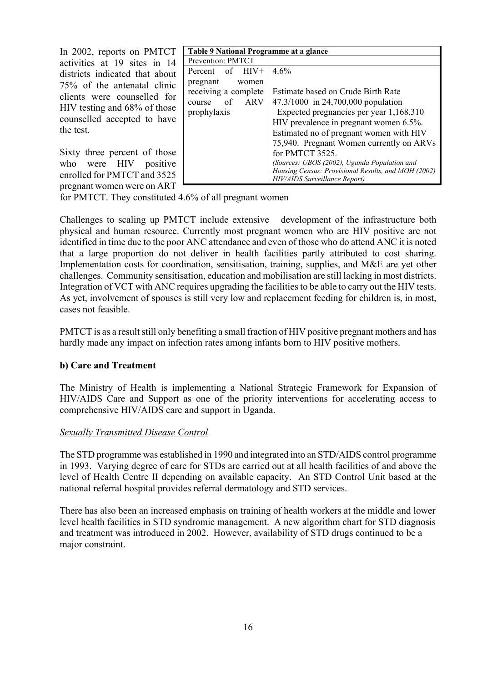In 2002, reports on PMTCT activities at 19 sites in 14 districts indicated that about 75% of the antenatal clinic clients were counselled for HIV testing and 68% of those counselled accepted to have the test.

Sixty three percent of those who were HIV positive enrolled for PMTCT and 3525 pregnant women were on ART

| Table 9 National Programme at a glance |                                                     |
|----------------------------------------|-----------------------------------------------------|
| Prevention: PMTCT                      |                                                     |
| Percent of HIV+                        | $4.6\%$                                             |
| pregnant<br>women                      |                                                     |
| receiving a complete                   | Estimate based on Crude Birth Rate                  |
| course of ARV                          | 47.3/1000 in 24,700,000 population                  |
| prophylaxis                            | Expected pregnancies per year 1,168,310             |
|                                        | HIV prevalence in pregnant women 6.5%.              |
|                                        | Estimated no of pregnant women with HIV             |
|                                        | 75,940. Pregnant Women currently on ARVs            |
|                                        | for PMTCT 3525.                                     |
|                                        | (Sources: UBOS (2002), Uganda Population and        |
|                                        | Housing Census: Provisional Results, and MOH (2002) |
|                                        | HIV/AIDS Surveillance Report)                       |

for PMTCT. They constituted 4.6% of all pregnant women

Challenges to scaling up PMTCT include extensive development of the infrastructure both physical and human resource. Currently most pregnant women who are HIV positive are not identified in time due to the poor ANC attendance and even of those who do attend ANC it is noted that a large proportion do not deliver in health facilities partly attributed to cost sharing. Implementation costs for coordination, sensitisation, training, supplies, and M&E are yet other challenges. Community sensitisation, education and mobilisation are still lacking in most districts. Integration of VCT with ANC requires upgrading the facilities to be able to carry out the HIV tests. As yet, involvement of spouses is still very low and replacement feeding for children is, in most, cases not feasible.

PMTCT is as a result still only benefiting a small fraction of HIV positive pregnant mothers and has hardly made any impact on infection rates among infants born to HIV positive mothers.

### **b) Care and Treatment**

The Ministry of Health is implementing a National Strategic Framework for Expansion of HIV/AIDS Care and Support as one of the priority interventions for accelerating access to comprehensive HIV/AIDS care and support in Uganda.

#### *Sexually Transmitted Disease Control*

The STD programme was established in 1990 and integrated into an STD/AIDS control programme in 1993. Varying degree of care for STDs are carried out at all health facilities of and above the level of Health Centre II depending on available capacity. An STD Control Unit based at the national referral hospital provides referral dermatology and STD services.

There has also been an increased emphasis on training of health workers at the middle and lower level health facilities in STD syndromic management. A new algorithm chart for STD diagnosis and treatment was introduced in 2002. However, availability of STD drugs continued to be a major constraint.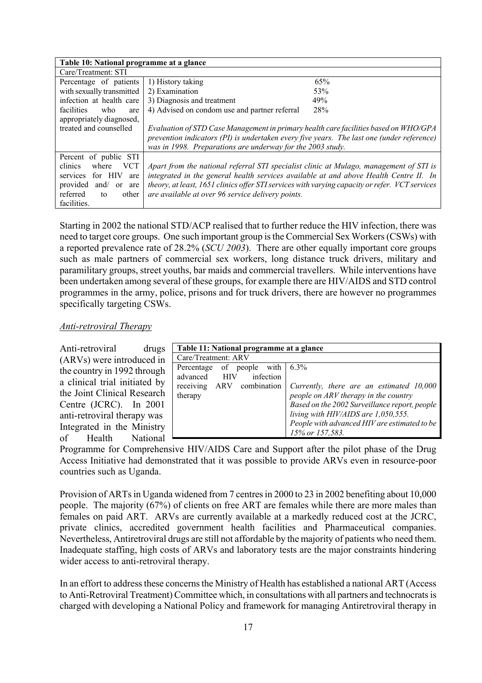| Table 10: National programme at a glance           |                                                                                                |     |
|----------------------------------------------------|------------------------------------------------------------------------------------------------|-----|
| Care/Treatment: STI                                |                                                                                                |     |
| Percentage of patients                             | 1) History taking                                                                              | 65% |
| with sexually transmitted                          | 2) Examination                                                                                 | 53% |
| infection at health care                           | 3) Diagnosis and treatment                                                                     | 49% |
| facilities<br>who<br>are                           | 4) Advised on condom use and partner referral                                                  | 28% |
| appropriately diagnosed,                           |                                                                                                |     |
| treated and counselled                             | Evaluation of STD Case Management in primary health care facilities based on WHO/GPA           |     |
|                                                    | prevention indicators (PI) is undertaken every five years. The last one (under reference)      |     |
|                                                    | was in 1998. Preparations are underway for the 2003 study.                                     |     |
| Percent of public STI                              |                                                                                                |     |
| clinics<br><b>VCT</b><br>where                     | Apart from the national referral STI specialist clinic at Mulago, management of STI is         |     |
| for HIV<br>services<br>are                         | integrated in the general health services available at and above Health Centre II. In          |     |
| provided<br>and $\sqrt{ }$<br><sub>or</sub><br>are | theory, at least, 1651 clinics offer STI services with varying capacity or refer. VCT services |     |
| referred<br>other<br>to                            | are available at over 96 service delivery points.                                              |     |
| facilities.                                        |                                                                                                |     |

Starting in 2002 the national STD/ACP realised that to further reduce the HIV infection, there was need to target core groups. One such important group is the Commercial Sex Workers (CSWs) with a reported prevalence rate of 28.2% (*SCU 2003*). There are other equally important core groups such as male partners of commercial sex workers, long distance truck drivers, military and paramilitary groups, street youths, bar maids and commercial travellers. While interventions have been undertaken among several of these groups, for example there are HIV/AIDS and STD control programmes in the army, police, prisons and for truck drivers, there are however no programmes specifically targeting CSWs.

#### *Anti-retroviral Therapy*

| Anti-retroviral               | drugs |
|-------------------------------|-------|
| (ARVs) were introduced in     |       |
| the country in 1992 through   |       |
| a clinical trial initiated by |       |
| the Joint Clinical Research   |       |
| Centre (JCRC). In 2001        |       |
| anti-retroviral therapy was   |       |
| Integrated in the Ministry    |       |
| of Health National            |       |

| Table 11: National programme at a glance |                                               |  |
|------------------------------------------|-----------------------------------------------|--|
| Care/Treatment: ARV                      |                                               |  |
| Percentage of people with $6.3\%$        |                                               |  |
| advanced HIV<br>infection                |                                               |  |
| ARV combination<br>receiving             | Currently, there are an estimated 10,000      |  |
| therapy                                  | people on ARV therapy in the country          |  |
|                                          | Based on the 2002 Surveillance report, people |  |
|                                          | living with HIV/AIDS are 1,050,555.           |  |
|                                          | People with advanced HIV are estimated to be  |  |
|                                          | 15% or 157,583.                               |  |

Programme for Comprehensive HIV/AIDS Care and Support after the pilot phase of the Drug Access Initiative had demonstrated that it was possible to provide ARVs even in resource-poor countries such as Uganda.

Provision of ARTs in Uganda widened from 7 centres in 2000 to 23 in 2002 benefiting about 10,000 people. The majority (67%) of clients on free ART are females while there are more males than females on paid ART. ARVs are currently available at a markedly reduced cost at the JCRC, private clinics, accredited government health facilities and Pharmaceutical companies. Nevertheless, Antiretroviral drugs are still not affordable by the majority of patients who need them. Inadequate staffing, high costs of ARVs and laboratory tests are the major constraints hindering wider access to anti-retroviral therapy.

In an effort to address these concerns the Ministry of Health has established a national ART (Access to Anti-Retroviral Treatment) Committee which, in consultations with all partners and technocrats is charged with developing a National Policy and framework for managing Antiretroviral therapy in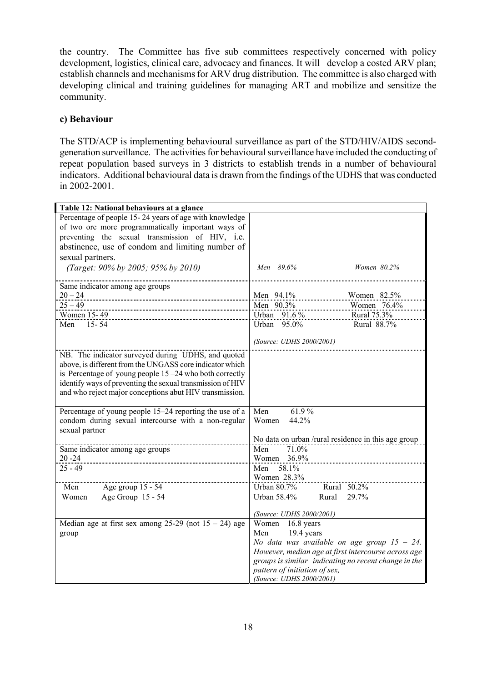the country. The Committee has five sub committees respectively concerned with policy development, logistics, clinical care, advocacy and finances. It will develop a costed ARV plan; establish channels and mechanisms for ARV drug distribution. The committee is also charged with developing clinical and training guidelines for managing ART and mobilize and sensitize the community.

#### **c) Behaviour**

The STD/ACP is implementing behavioural surveillance as part of the STD/HIV/AIDS secondgeneration surveillance. The activities for behavioural surveillance have included the conducting of repeat population based surveys in 3 districts to establish trends in a number of behavioural indicators. Additional behavioural data is drawn from the findings of the UDHS that was conducted in 2002-2001.

| Percentage of people 15-24 years of age with knowledge<br>of two ore more programmatically important ways of<br>preventing the sexual transmission of HIV, i.e.<br>abstinence, use of condom and limiting number of<br>sexual partners.<br>(Target: 90% by 2005; 95% by 2010)<br>Men 89.6%<br>Women 80.2%<br>Same indicator among age groups<br>$20 - 24$<br>Men 94.1%<br>Women 82.5%<br>Men 90.3%<br>$25 - 49$<br>Women 76.4%<br>Urban 91.6 %<br>Women 15-49<br>Rural 75.3%<br>$15 - 54$<br>95.0%<br>Rural 88.7%<br>Men<br>Urban |
|-----------------------------------------------------------------------------------------------------------------------------------------------------------------------------------------------------------------------------------------------------------------------------------------------------------------------------------------------------------------------------------------------------------------------------------------------------------------------------------------------------------------------------------|
|                                                                                                                                                                                                                                                                                                                                                                                                                                                                                                                                   |
|                                                                                                                                                                                                                                                                                                                                                                                                                                                                                                                                   |
|                                                                                                                                                                                                                                                                                                                                                                                                                                                                                                                                   |
|                                                                                                                                                                                                                                                                                                                                                                                                                                                                                                                                   |
|                                                                                                                                                                                                                                                                                                                                                                                                                                                                                                                                   |
|                                                                                                                                                                                                                                                                                                                                                                                                                                                                                                                                   |
|                                                                                                                                                                                                                                                                                                                                                                                                                                                                                                                                   |
|                                                                                                                                                                                                                                                                                                                                                                                                                                                                                                                                   |
|                                                                                                                                                                                                                                                                                                                                                                                                                                                                                                                                   |
|                                                                                                                                                                                                                                                                                                                                                                                                                                                                                                                                   |
|                                                                                                                                                                                                                                                                                                                                                                                                                                                                                                                                   |
|                                                                                                                                                                                                                                                                                                                                                                                                                                                                                                                                   |
|                                                                                                                                                                                                                                                                                                                                                                                                                                                                                                                                   |
| (Source: UDHS 2000/2001)                                                                                                                                                                                                                                                                                                                                                                                                                                                                                                          |
| NB. The indicator surveyed during UDHS, and quoted                                                                                                                                                                                                                                                                                                                                                                                                                                                                                |
| above, is different from the UNGASS core indicator which                                                                                                                                                                                                                                                                                                                                                                                                                                                                          |
| is Percentage of young people $15 - 24$ who both correctly                                                                                                                                                                                                                                                                                                                                                                                                                                                                        |
| identify ways of preventing the sexual transmission of HIV                                                                                                                                                                                                                                                                                                                                                                                                                                                                        |
| and who reject major conceptions abut HIV transmission.                                                                                                                                                                                                                                                                                                                                                                                                                                                                           |
|                                                                                                                                                                                                                                                                                                                                                                                                                                                                                                                                   |
| Men<br>61.9%<br>Percentage of young people 15–24 reporting the use of a                                                                                                                                                                                                                                                                                                                                                                                                                                                           |
| condom during sexual intercourse with a non-regular<br>44.2%<br>Women                                                                                                                                                                                                                                                                                                                                                                                                                                                             |
| sexual partner                                                                                                                                                                                                                                                                                                                                                                                                                                                                                                                    |
| No data on urban /rural residence in this age group                                                                                                                                                                                                                                                                                                                                                                                                                                                                               |
| 71.0%<br>Men<br>Same indicator among age groups                                                                                                                                                                                                                                                                                                                                                                                                                                                                                   |
| $20 - 24$<br>Women<br>36.9%                                                                                                                                                                                                                                                                                                                                                                                                                                                                                                       |
| $25 - 49$<br>58.1%<br>Men                                                                                                                                                                                                                                                                                                                                                                                                                                                                                                         |
| Women 28.3%                                                                                                                                                                                                                                                                                                                                                                                                                                                                                                                       |
| Urban 80.7%<br>Rural 50.2%<br>Men<br>Age group 15 - 54                                                                                                                                                                                                                                                                                                                                                                                                                                                                            |
| Age Group 15 - 54<br>Urban 58.4%<br>Women<br>29.7%<br>Rural                                                                                                                                                                                                                                                                                                                                                                                                                                                                       |
| (Source: UDHS 2000/2001)                                                                                                                                                                                                                                                                                                                                                                                                                                                                                                          |
| Women 16.8 years<br>Median age at first sex among $25-29$ (not $15-24$ ) age                                                                                                                                                                                                                                                                                                                                                                                                                                                      |
| 19.4 years<br>Men<br>group                                                                                                                                                                                                                                                                                                                                                                                                                                                                                                        |
| No data was available on age group $15 - 24$ .                                                                                                                                                                                                                                                                                                                                                                                                                                                                                    |
| However, median age at first intercourse across age                                                                                                                                                                                                                                                                                                                                                                                                                                                                               |
| groups is similar indicating no recent change in the                                                                                                                                                                                                                                                                                                                                                                                                                                                                              |
| pattern of initiation of sex,                                                                                                                                                                                                                                                                                                                                                                                                                                                                                                     |
| (Source: UDHS 2000/2001)                                                                                                                                                                                                                                                                                                                                                                                                                                                                                                          |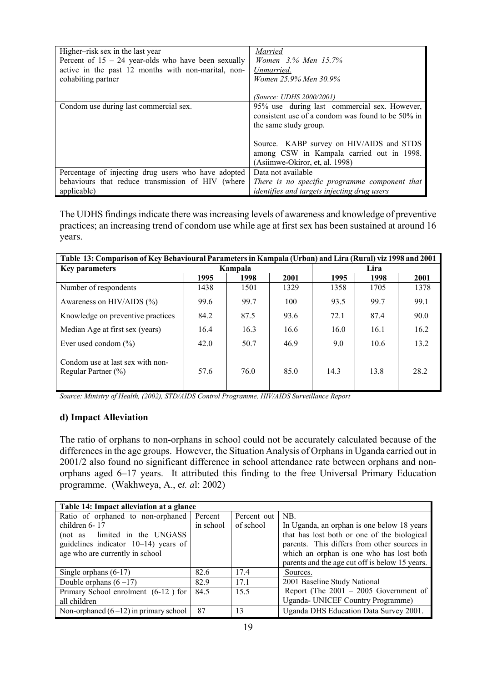| Higher-risk sex in the last year                      | Married                                           |
|-------------------------------------------------------|---------------------------------------------------|
| Percent of $15 - 24$ year-olds who have been sexually | Women 3.% Men 15.7%                               |
| active in the past 12 months with non-marital, non-   | Unmarried.                                        |
| cohabiting partner                                    | Women 25.9% Men 30.9%                             |
|                                                       |                                                   |
|                                                       | <i>(Source: UDHS 2000/2001)</i>                   |
| Condom use during last commercial sex.                | 95% use during last commercial sex. However,      |
|                                                       | consistent use of a condom was found to be 50% in |
|                                                       | the same study group.                             |
|                                                       |                                                   |
|                                                       | Source. KABP survey on HIV/AIDS and STDS          |
|                                                       | among CSW in Kampala carried out in 1998.         |
|                                                       | (Asiimwe-Okiror, et, al. 1998)                    |
| Percentage of injecting drug users who have adopted   | Data not available                                |
| behaviours that reduce transmission of HIV (where     | There is no specific programme component that     |
| applicable)                                           | identifies and targets injecting drug users       |

The UDHS findings indicate there was increasing levels of awareness and knowledge of preventive practices; an increasing trend of condom use while age at first sex has been sustained at around 16 years.

| Table 13: Comparison of Key Behavioural Parameters in Kampala (Urban) and Lira (Rural) viz 1998 and 2001 |         |      |      |      |      |      |
|----------------------------------------------------------------------------------------------------------|---------|------|------|------|------|------|
| <b>Key parameters</b>                                                                                    | Kampala |      |      | Lira |      |      |
|                                                                                                          | 1995    | 1998 | 2001 | 1995 | 1998 | 2001 |
| Number of respondents                                                                                    | 1438    | 1501 | 1329 | 1358 | 1705 | 1378 |
| Awareness on HIV/AIDS $(\% )$                                                                            | 99.6    | 99.7 | 100  | 93.5 | 99.7 | 99.1 |
| Knowledge on preventive practices                                                                        | 84.2    | 87.5 | 93.6 | 72.1 | 87.4 | 90.0 |
| Median Age at first sex (years)                                                                          | 16.4    | 16.3 | 16.6 | 16.0 | 16.1 | 16.2 |
| Ever used condom $(\% )$                                                                                 | 42.0    | 50.7 | 46.9 | 9.0  | 10.6 | 13.2 |
| Condom use at last sex with non-<br>Regular Partner $(\% )$                                              | 57.6    | 76.0 | 85.0 | 14.3 | 13.8 | 28.2 |

*Source: Ministry of Health, (2002), STD/AIDS Control Programme, HIV/AIDS Surveillance Report* 

#### **d) Impact Alleviation**

The ratio of orphans to non-orphans in school could not be accurately calculated because of the differences in the age groups. However, the Situation Analysis of Orphans in Uganda carried out in 2001/2 also found no significant difference in school attendance rate between orphans and nonorphans aged 6–17 years. It attributed this finding to the free Universal Primary Education programme. (Wakhweya, A., e*t. a*l: 2002)

| Table 14: Impact alleviation at a glance |           |             |                                                |
|------------------------------------------|-----------|-------------|------------------------------------------------|
| Ratio of orphaned to non-orphaned        | Percent   | Percent out | NB.                                            |
| children 6-17                            | in school | of school   | In Uganda, an orphan is one below 18 years     |
| limited in the UNGASS<br>(not as         |           |             | that has lost both or one of the biological    |
| guidelines indicator $10-14$ ) years of  |           |             | parents. This differs from other sources in    |
| age who are currently in school          |           |             | which an orphan is one who has lost both       |
|                                          |           |             | parents and the age cut off is below 15 years. |
| Single orphans $(6-17)$                  | 82.6      | 174         | Sources.                                       |
| Double orphans $(6-17)$                  | 829       | 17.1        | 2001 Baseline Study National                   |
| Primary School enrolment (6-12) for      | 84.5      | 15.5        | Report (The $2001 - 2005$ Government of        |
| all children                             |           |             | Uganda- UNICEF Country Programme)              |
| Non-orphaned $(6-12)$ in primary school  | 87        | 13          | Uganda DHS Education Data Survey 2001.         |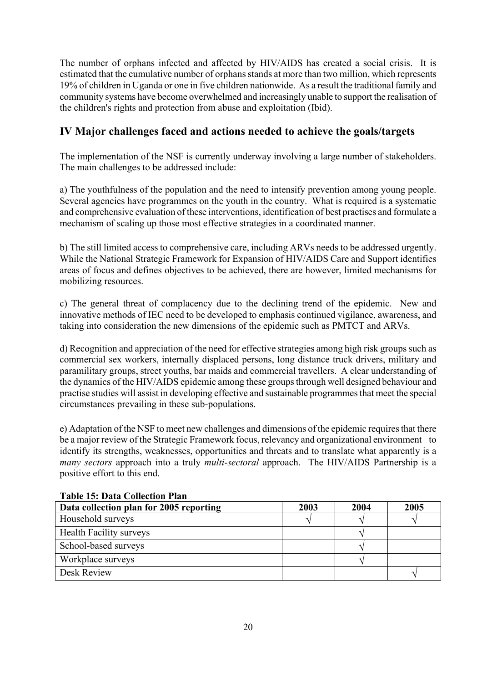The number of orphans infected and affected by HIV/AIDS has created a social crisis. It is estimated that the cumulative number of orphans stands at more than two million, which represents 19% of children in Uganda or one in five children nationwide. As a result the traditional family and community systems have become overwhelmed and increasingly unable to support the realisation of the children's rights and protection from abuse and exploitation (Ibid).

# **IV Major challenges faced and actions needed to achieve the goals/targets**

The implementation of the NSF is currently underway involving a large number of stakeholders. The main challenges to be addressed include:

a) The youthfulness of the population and the need to intensify prevention among young people. Several agencies have programmes on the youth in the country. What is required is a systematic and comprehensive evaluation of these interventions, identification of best practises and formulate a mechanism of scaling up those most effective strategies in a coordinated manner.

b) The still limited access to comprehensive care, including ARVs needs to be addressed urgently. While the National Strategic Framework for Expansion of HIV/AIDS Care and Support identifies areas of focus and defines objectives to be achieved, there are however, limited mechanisms for mobilizing resources.

c) The general threat of complacency due to the declining trend of the epidemic. New and innovative methods of IEC need to be developed to emphasis continued vigilance, awareness, and taking into consideration the new dimensions of the epidemic such as PMTCT and ARVs.

d) Recognition and appreciation of the need for effective strategies among high risk groups such as commercial sex workers, internally displaced persons, long distance truck drivers, military and paramilitary groups, street youths, bar maids and commercial travellers. A clear understanding of the dynamics of the HIV/AIDS epidemic among these groups through well designed behaviour and practise studies will assist in developing effective and sustainable programmes that meet the special circumstances prevailing in these sub-populations.

e) Adaptation of the NSF to meet new challenges and dimensions of the epidemic requires that there be a major review of the Strategic Framework focus, relevancy and organizational environment to identify its strengths, weaknesses, opportunities and threats and to translate what apparently is a *many sectors* approach into a truly *multi-sectoral* approach. The HIV/AIDS Partnership is a positive effort to this end.

| тиміс тоі рийі сонссион тійн            |      |      |      |
|-----------------------------------------|------|------|------|
| Data collection plan for 2005 reporting | 2003 | 2004 | 2005 |
| Household surveys                       |      |      |      |
| <b>Health Facility surveys</b>          |      |      |      |
| School-based surveys                    |      |      |      |
| Workplace surveys                       |      |      |      |
| Desk Review                             |      |      |      |

#### **Table 15: Data Collection Plan**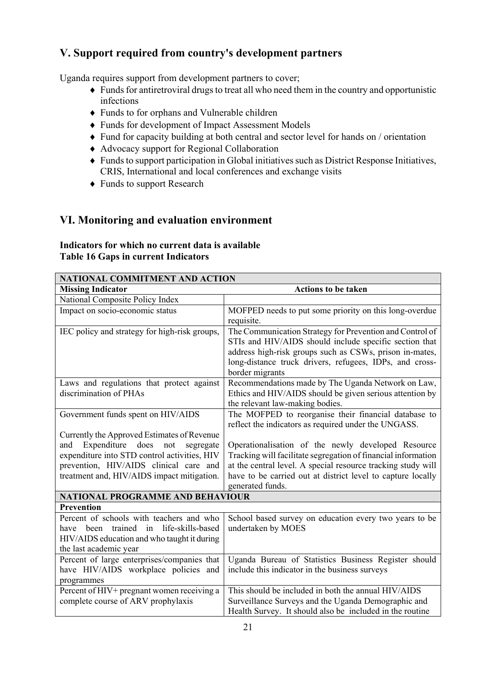# **V. Support required from country's development partners**

Uganda requires support from development partners to cover;

- ♦ Funds for antiretroviral drugs to treat all who need them in the country and opportunistic infections
- ♦ Funds to for orphans and Vulnerable children
- ♦ Funds for development of Impact Assessment Models
- ♦ Fund for capacity building at both central and sector level for hands on / orientation
- ♦ Advocacy support for Regional Collaboration
- ♦ Funds to support participation in Global initiatives such as District Response Initiatives, CRIS, International and local conferences and exchange visits
- ♦ Funds to support Research

# **VI. Monitoring and evaluation environment**

### **Indicators for which no current data is available Table 16 Gaps in current Indicators**

| NATIONAL COMMITMENT AND ACTION                    |                                                                              |  |
|---------------------------------------------------|------------------------------------------------------------------------------|--|
| <b>Missing Indicator</b>                          | <b>Actions to be taken</b>                                                   |  |
| National Composite Policy Index                   |                                                                              |  |
| Impact on socio-economic status                   | MOFPED needs to put some priority on this long-overdue                       |  |
|                                                   | requisite.                                                                   |  |
| IEC policy and strategy for high-risk groups,     | The Communication Strategy for Prevention and Control of                     |  |
|                                                   | STIs and HIV/AIDS should include specific section that                       |  |
|                                                   | address high-risk groups such as CSWs, prison in-mates,                      |  |
|                                                   | long-distance truck drivers, refugees, IDPs, and cross-                      |  |
|                                                   | border migrants                                                              |  |
| Laws and regulations that protect against         | Recommendations made by The Uganda Network on Law,                           |  |
| discrimination of PHAs                            | Ethics and HIV/AIDS should be given serious attention by                     |  |
|                                                   | the relevant law-making bodies.                                              |  |
| Government funds spent on HIV/AIDS                | The MOFPED to reorganise their financial database to                         |  |
|                                                   | reflect the indicators as required under the UNGASS.                         |  |
| Currently the Approved Estimates of Revenue       |                                                                              |  |
| Expenditure<br>not<br>does<br>and<br>segregate    | Operationalisation of the newly developed Resource                           |  |
| expenditure into STD control activities, HIV      | Tracking will facilitate segregation of financial information                |  |
| prevention, HIV/AIDS clinical care and            | at the central level. A special resource tracking study will                 |  |
| treatment and, HIV/AIDS impact mitigation.        | have to be carried out at district level to capture locally                  |  |
| <b>NATIONAL PROGRAMME AND BEHAVIOUR</b>           | generated funds.                                                             |  |
| <b>Prevention</b>                                 |                                                                              |  |
| Percent of schools with teachers and who          |                                                                              |  |
| life-skills-based<br>have been trained            | School based survey on education every two years to be<br>undertaken by MOES |  |
| in<br>HIV/AIDS education and who taught it during |                                                                              |  |
| the last academic year                            |                                                                              |  |
| Percent of large enterprises/companies that       | Uganda Bureau of Statistics Business Register should                         |  |
| have HIV/AIDS workplace policies and              | include this indicator in the business surveys                               |  |
| programmes                                        |                                                                              |  |
| Percent of HIV+ pregnant women receiving a        | This should be included in both the annual HIV/AIDS                          |  |
| complete course of ARV prophylaxis                | Surveillance Surveys and the Uganda Demographic and                          |  |
|                                                   | Health Survey. It should also be included in the routine                     |  |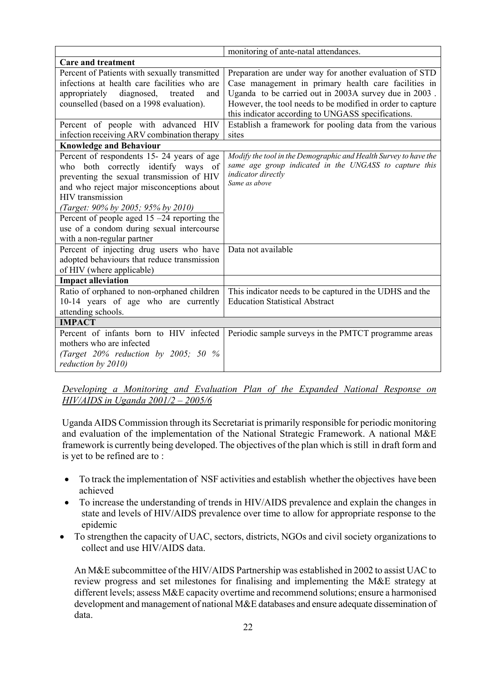|                                                                                                                                                                                                                                                                                                                                                                          | monitoring of ante-natal attendances.                                                                                                                             |
|--------------------------------------------------------------------------------------------------------------------------------------------------------------------------------------------------------------------------------------------------------------------------------------------------------------------------------------------------------------------------|-------------------------------------------------------------------------------------------------------------------------------------------------------------------|
| <b>Care and treatment</b>                                                                                                                                                                                                                                                                                                                                                |                                                                                                                                                                   |
| Percent of Patients with sexually transmitted<br>infections at health care facilities who are                                                                                                                                                                                                                                                                            | Preparation are under way for another evaluation of STD<br>Case management in primary health care facilities in                                                   |
| appropriately<br>diagnosed,<br>treated<br>and<br>counselled (based on a 1998 evaluation).                                                                                                                                                                                                                                                                                | Uganda to be carried out in 2003A survey due in 2003.<br>However, the tool needs to be modified in order to capture                                               |
|                                                                                                                                                                                                                                                                                                                                                                          | this indicator according to UNGASS specifications.                                                                                                                |
| Percent of people with advanced HIV<br>infection receiving ARV combination therapy                                                                                                                                                                                                                                                                                       | Establish a framework for pooling data from the various<br>sites                                                                                                  |
| <b>Knowledge and Behaviour</b>                                                                                                                                                                                                                                                                                                                                           |                                                                                                                                                                   |
| Percent of respondents 15-24 years of age<br>who both correctly identify ways of<br>preventing the sexual transmission of HIV<br>and who reject major misconceptions about<br><b>HIV</b> transmission<br>(Target: 90% by 2005; 95% by 2010)<br>Percent of people aged $15 - 24$ reporting the<br>use of a condom during sexual intercourse<br>with a non-regular partner | Modify the tool in the Demographic and Health Survey to have the<br>same age group indicated in the UNGASS to capture this<br>indicator directly<br>Same as above |
| Percent of injecting drug users who have<br>adopted behaviours that reduce transmission<br>of HIV (where applicable)                                                                                                                                                                                                                                                     | Data not available                                                                                                                                                |
| <b>Impact alleviation</b>                                                                                                                                                                                                                                                                                                                                                |                                                                                                                                                                   |
| Ratio of orphaned to non-orphaned children<br>10-14 years of age who are currently<br>attending schools.                                                                                                                                                                                                                                                                 | This indicator needs to be captured in the UDHS and the<br><b>Education Statistical Abstract</b>                                                                  |
| <b>IMPACT</b>                                                                                                                                                                                                                                                                                                                                                            |                                                                                                                                                                   |
| Percent of infants born to HIV infected<br>mothers who are infected<br>(Target $20\%$ reduction by $2005$ ; 50 $\%$<br>reduction by 2010)                                                                                                                                                                                                                                | Periodic sample surveys in the PMTCT programme areas                                                                                                              |

*Developing a Monitoring and Evaluation Plan of the Expanded National Response on HIV/AIDS in Uganda 2001/2 – 2005/6*

Uganda AIDS Commission through its Secretariat is primarily responsible for periodic monitoring and evaluation of the implementation of the National Strategic Framework. A national M&E framework is currently being developed. The objectives of the plan which is still in draft form and is yet to be refined are to :

- To track the implementation of NSF activities and establish whether the objectives have been achieved
- To increase the understanding of trends in HIV/AIDS prevalence and explain the changes in state and levels of HIV/AIDS prevalence over time to allow for appropriate response to the epidemic
- To strengthen the capacity of UAC, sectors, districts, NGOs and civil society organizations to collect and use HIV/AIDS data.

An M&E subcommittee of the HIV/AIDS Partnership was established in 2002 to assist UAC to review progress and set milestones for finalising and implementing the M&E strategy at different levels; assess M&E capacity overtime and recommend solutions; ensure a harmonised development and management of national M&E databases and ensure adequate dissemination of data.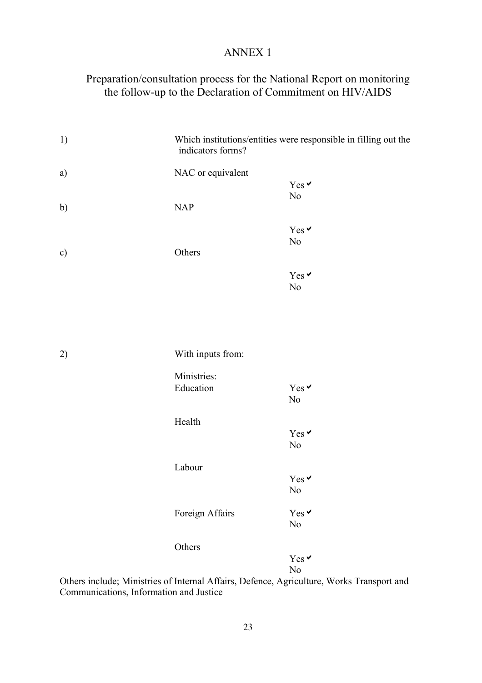# ANNEX 1

# Preparation/consultation process for the National Report on monitoring the follow-up to the Declaration of Commitment on HIV/AIDS

| 1) | indicators forms? | Which institutions/entities were responsible in filling out the |
|----|-------------------|-----------------------------------------------------------------|
| a) | NAC or equivalent |                                                                 |
|    |                   | Yes $\vee$                                                      |
|    |                   | $\rm No$                                                        |
| b) | NAP               |                                                                 |
|    |                   | Yes v                                                           |
|    |                   | $\rm No$                                                        |
| c) | Others            |                                                                 |
|    |                   |                                                                 |
|    |                   | Yes v                                                           |
|    |                   | $\rm No$                                                        |
|    |                   |                                                                 |
|    |                   |                                                                 |
|    |                   |                                                                 |
| 2) | With inputs from: |                                                                 |
|    |                   |                                                                 |
|    | Ministries:       |                                                                 |
|    | Education         | Yes v                                                           |
|    |                   | No                                                              |
|    | Health            |                                                                 |
|    |                   | Yes v                                                           |
|    |                   | $\rm No$                                                        |
|    |                   |                                                                 |
|    | Labour            |                                                                 |
|    |                   | Yes v                                                           |
|    |                   | No                                                              |
|    | Foreign Affairs   | Yes v                                                           |
|    |                   | $\rm No$                                                        |
|    |                   |                                                                 |
|    | Others            | Yes $\vee$                                                      |
|    |                   | $\rm No$                                                        |
|    |                   |                                                                 |

Others include; Ministries of Internal Affairs, Defence, Agriculture, Works Transport and Communications, Information and Justice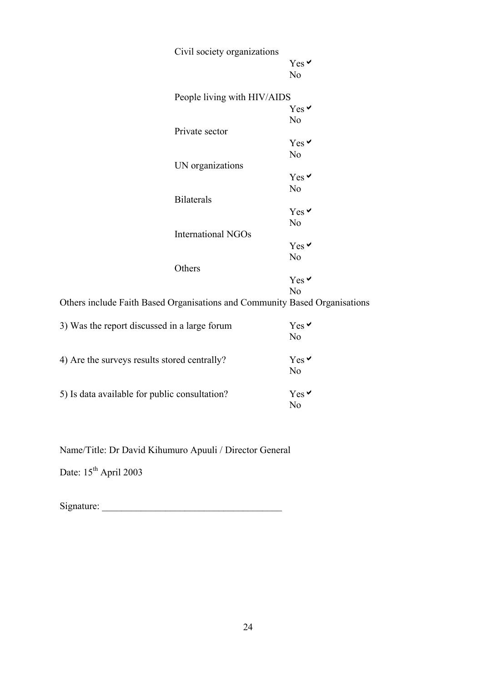|                                                                            | Civil society organizations | Yes v<br>N <sub>0</sub> |
|----------------------------------------------------------------------------|-----------------------------|-------------------------|
|                                                                            | People living with HIV/AIDS |                         |
|                                                                            |                             | $Yes \prime$            |
|                                                                            |                             | N <sub>0</sub>          |
|                                                                            | Private sector              |                         |
|                                                                            |                             | Yes v                   |
|                                                                            |                             | N <sub>0</sub>          |
|                                                                            | UN organizations            |                         |
|                                                                            |                             | Yes v                   |
|                                                                            |                             | N <sub>0</sub>          |
|                                                                            | <b>Bilaterals</b>           |                         |
|                                                                            |                             | Yes v                   |
|                                                                            |                             | N <sub>o</sub>          |
|                                                                            | International NGOs          |                         |
|                                                                            |                             | Yes v                   |
|                                                                            |                             | N <sub>o</sub>          |
|                                                                            | Others                      |                         |
|                                                                            |                             | $Yes \vee$              |
|                                                                            |                             | N <sub>o</sub>          |
| Others include Faith Based Organisations and Community Based Organisations |                             |                         |
| 3) Was the report discussed in a large forum                               |                             | Yes v                   |
|                                                                            |                             | No                      |
| 4) Are the surveys results stored centrally?                               |                             | Yes <sup>V</sup>        |
|                                                                            |                             | N <sub>o</sub>          |
| 5) Is data available for public consultation?                              |                             | $Yes \prime$            |
|                                                                            |                             | N <sub>o</sub>          |
|                                                                            |                             |                         |

Name/Title: Dr David Kihumuro Apuuli / Director General

Date:  $15^{\text{th}}$  April 2003

Signature: \_\_\_\_\_\_\_\_\_\_\_\_\_\_\_\_\_\_\_\_\_\_\_\_\_\_\_\_\_\_\_\_\_\_\_\_\_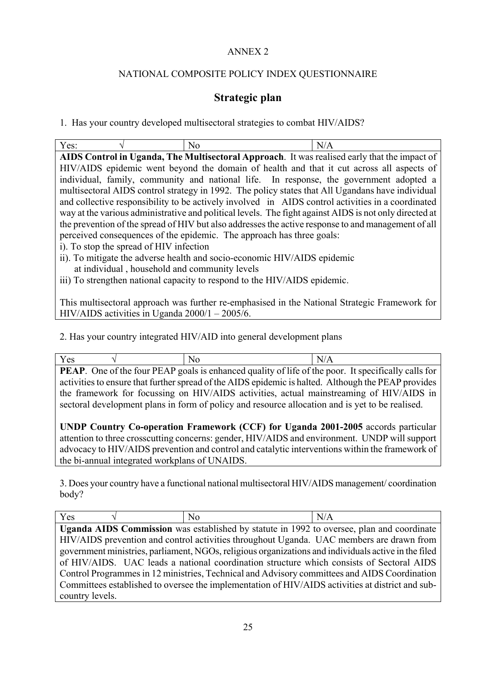## ANNEX 2

## NATIONAL COMPOSITE POLICY INDEX QUESTIONNAIRE

# **Strategic plan**

1. Has your country developed multisectoral strategies to combat HIV/AIDS?

|  | N. | N                                                                                          |
|--|----|--------------------------------------------------------------------------------------------|
|  |    | AIDC Control in Haanda. The Multiscotoral Annuageb It was realized orly that the impact of |

**AIDS Control in Uganda, The Multisectoral Approach**. It was realised early that the impact of HIV/AIDS epidemic went beyond the domain of health and that it cut across all aspects of individual, family, community and national life. In response, the government adopted a multisectoral AIDS control strategy in 1992. The policy states that All Ugandans have individual and collective responsibility to be actively involved in AIDS control activities in a coordinated way at the various administrative and political levels. The fight against AIDS is not only directed at the prevention of the spread of HIV but also addresses the active response to and management of all perceived consequences of the epidemic. The approach has three goals:

- i). To stop the spread of HIV infection
- ii). To mitigate the adverse health and socio-economic HIV/AIDS epidemic at individual , household and community levels

iii) To strengthen national capacity to respond to the HIV/AIDS epidemic.

This multisectoral approach was further re-emphasised in the National Strategic Framework for HIV/AIDS activities in Uganda 2000/1 – 2005/6.

2. Has your country integrated HIV/AID into general development plans

|  | $\mathbf{D} \mathbf{F} \wedge \mathbf{D}$ and $\mathbf{C}$ as $\mathbf{D} \wedge \mathbf{D}$ and $\mathbf{D}$ are proposed surplify of the find $\mathbf{D}$ and $\mathbf{D}$ are $\mathbf{D}$ and $\mathbf{D}$ and $\mathbf{D}$ are $\mathbf{D}$ and $\mathbf{D}$ are $\mathbf{D}$ and $\mathbf{D}$ and |  |
|--|----------------------------------------------------------------------------------------------------------------------------------------------------------------------------------------------------------------------------------------------------------------------------------------------------------|--|
|  |                                                                                                                                                                                                                                                                                                          |  |

**PEAP**. One of the four PEAP goals is enhanced quality of life of the poor. It specifically calls for activities to ensure that further spread of the AIDS epidemic is halted. Although the PEAP provides the framework for focussing on HIV/AIDS activities, actual mainstreaming of HIV/AIDS in sectoral development plans in form of policy and resource allocation and is yet to be realised.

**UNDP Country Co-operation Framework (CCF) for Uganda 2001-2005** accords particular attention to three crosscutting concerns: gender, HIV/AIDS and environment. UNDP will support advocacy to HIV/AIDS prevention and control and catalytic interventions within the framework of the bi-annual integrated workplans of UNAIDS.

3. Does your country have a functional national multisectoral HIV/AIDS management/ coordination body?

| Yes             | No | N/A                                                                                                  |
|-----------------|----|------------------------------------------------------------------------------------------------------|
|                 |    | Uganda AIDS Commission was established by statute in 1992 to oversee, plan and coordinate            |
|                 |    | HIV/AIDS prevention and control activities throughout Uganda. UAC members are drawn from             |
|                 |    | government ministries, parliament, NGOs, religious organizations and individuals active in the filed |
|                 |    | of HIV/AIDS. UAC leads a national coordination structure which consists of Sectoral AIDS             |
|                 |    | Control Programmes in 12 ministries, Technical and Advisory committees and AIDS Coordination         |
|                 |    | Committees established to oversee the implementation of HIV/AIDS activities at district and sub-     |
| country levels. |    |                                                                                                      |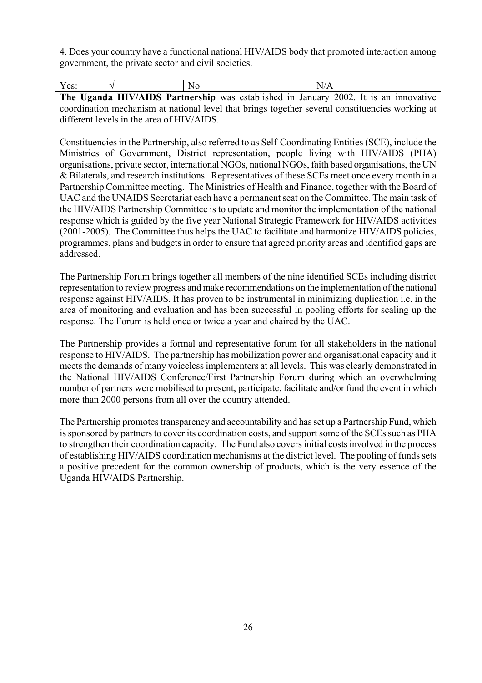4. Does your country have a functional national HIV/AIDS body that promoted interaction among government, the private sector and civil societies.

| Yes: | N <sub>0</sub> | N/A |                                                                                      |
|------|----------------|-----|--------------------------------------------------------------------------------------|
|      |                |     | The Uganda HIV/AIDS Partnership was established in January 2002. It is an innovative |

coordination mechanism at national level that brings together several constituencies working at different levels in the area of HIV/AIDS.

Constituencies in the Partnership, also referred to as Self-Coordinating Entities (SCE), include the Ministries of Government, District representation, people living with HIV/AIDS (PHA) organisations, private sector, international NGOs, national NGOs, faith based organisations, the UN & Bilaterals, and research institutions. Representatives of these SCEs meet once every month in a Partnership Committee meeting. The Ministries of Health and Finance, together with the Board of UAC and the UNAIDS Secretariat each have a permanent seat on the Committee. The main task of the HIV/AIDS Partnership Committee is to update and monitor the implementation of the national response which is guided by the five year National Strategic Framework for HIV/AIDS activities (2001-2005). The Committee thus helps the UAC to facilitate and harmonize HIV/AIDS policies, programmes, plans and budgets in order to ensure that agreed priority areas and identified gaps are addressed.

The Partnership Forum brings together all members of the nine identified SCEs including district representation to review progress and make recommendations on the implementation of the national response against HIV/AIDS. It has proven to be instrumental in minimizing duplication i.e. in the area of monitoring and evaluation and has been successful in pooling efforts for scaling up the response. The Forum is held once or twice a year and chaired by the UAC.

The Partnership provides a formal and representative forum for all stakeholders in the national response to HIV/AIDS. The partnership has mobilization power and organisational capacity and it meets the demands of many voiceless implementers at all levels. This was clearly demonstrated in the National HIV/AIDS Conference/First Partnership Forum during which an overwhelming number of partners were mobilised to present, participate, facilitate and/or fund the event in which more than 2000 persons from all over the country attended.

The Partnership promotes transparency and accountability and has set up a Partnership Fund, which is sponsored by partners to cover its coordination costs, and support some of the SCEs such as PHA to strengthen their coordination capacity. The Fund also covers initial costs involved in the process of establishing HIV/AIDS coordination mechanisms at the district level. The pooling of funds sets a positive precedent for the common ownership of products, which is the very essence of the Uganda HIV/AIDS Partnership.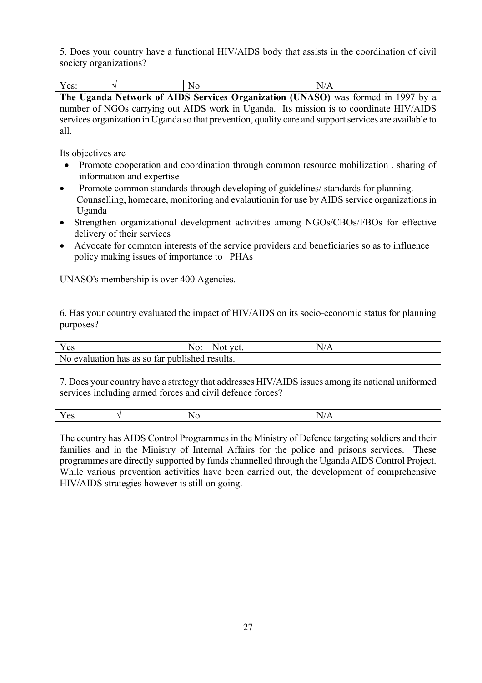5. Does your country have a functional HIV/AIDS body that assists in the coordination of civil society organizations?

| Yes:                                       | N <sub>0</sub>                                                                                         | N/A |
|--------------------------------------------|--------------------------------------------------------------------------------------------------------|-----|
|                                            | The Uganda Network of AIDS Services Organization (UNASO) was formed in 1997 by a                       |     |
|                                            | number of NGOs carrying out AIDS work in Uganda. Its mission is to coordinate HIV/AIDS                 |     |
|                                            | services organization in Uganda so that prevention, quality care and support services are available to |     |
| all.                                       |                                                                                                        |     |
|                                            |                                                                                                        |     |
| Its objectives are                         |                                                                                                        |     |
|                                            | Promote cooperation and coordination through common resource mobilization. sharing of                  |     |
| information and expertise                  |                                                                                                        |     |
|                                            | Promote common standards through developing of guidelines/ standards for planning.                     |     |
|                                            | Counselling, homecare, monitoring and evalaution in for use by AIDS service organizations in           |     |
| Uganda                                     |                                                                                                        |     |
| $\bullet$                                  | Strengthen organizational development activities among NGOs/CBOs/FBOs for effective                    |     |
| delivery of their services                 |                                                                                                        |     |
| $\bullet$                                  | Advocate for common interests of the service providers and beneficiaries so as to influence            |     |
| policy making issues of importance to PHAs |                                                                                                        |     |
|                                            |                                                                                                        |     |
| UNASO's membership is over 400 Agencies.   |                                                                                                        |     |

6. Has your country evaluated the impact of HIV/AIDS on its socio-economic status for planning purposes?

| Yes                                            | No:<br>Not vet. | N/A |
|------------------------------------------------|-----------------|-----|
| No evaluation has as so far published results. |                 |     |

7. Does your country have a strategy that addresses HIV/AIDS issues among its national uniformed services including armed forces and civil defence forces?

|  | . .<br>$-$ |
|--|------------|
|  |            |

The country has AIDS Control Programmes in the Ministry of Defence targeting soldiers and their families and in the Ministry of Internal Affairs for the police and prisons services. These programmes are directly supported by funds channelled through the Uganda AIDS Control Project. While various prevention activities have been carried out, the development of comprehensive HIV/AIDS strategies however is still on going.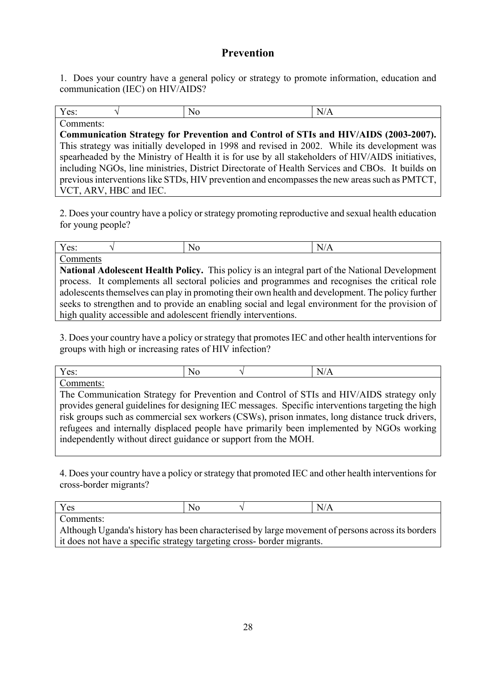# **Prevention**

1. Does your country have a general policy or strategy to promote information, education and communication (IEC) on HIV/AIDS?

| Yes:                                             | N0 | $\overline{\phantom{a}}$<br>N<br>. .<br>17 T.T |
|--------------------------------------------------|----|------------------------------------------------|
| $\sim$<br>$  -$<br>$ -$<br>$\tilde{\phantom{a}}$ |    |                                                |

**Communication Strategy for Prevention and Control of STIs and HIV/AIDS (2003-2007).** This strategy was initially developed in 1998 and revised in 2002. While its development was spearheaded by the Ministry of Health it is for use by all stakeholders of HIV/AIDS initiatives, including NGOs, line ministries, District Directorate of Health Services and CBOs. It builds on previous interventions like STDs, HIV prevention and encompasses the new areas such as PMTCT, VCT, ARV, HBC and IEC.

2. Does your country have a policy or strategy promoting reproductive and sexual health education for young people?

| Yes:                                                           | No                                                                                                | N/A |
|----------------------------------------------------------------|---------------------------------------------------------------------------------------------------|-----|
| Comments                                                       |                                                                                                   |     |
|                                                                | National Adolescent Health Policy. This policy is an integral part of the National Development    |     |
|                                                                | process. It complements all sectoral policies and programmes and recognises the critical role     |     |
|                                                                | adolescents themselves can play in promoting their own health and development. The policy further |     |
|                                                                | seeks to strengthen and to provide an enabling social and legal environment for the provision of  |     |
| high quality accessible and adolescent friendly interventions. |                                                                                                   |     |

3. Does your country have a policy or strategy that promotes IEC and other health interventions for groups with high or increasing rates of HIV infection?

| $\mathbf{x}$<br>$\sim$ $\sim$<br>vv. |  | . . |
|--------------------------------------|--|-----|
| $\overline{\phantom{0}}$             |  |     |

The Communication Strategy for Prevention and Control of STIs and HIV/AIDS strategy only provides general guidelines for designing IEC messages. Specific interventions targeting the high risk groups such as commercial sex workers (CSWs), prison inmates, long distance truck drivers, refugees and internally displaced people have primarily been implemented by NGOs working independently without direct guidance or support from the MOH.

4. Does your country have a policy or strategy that promoted IEC and other health interventions for cross-border migrants?

| Yes                                                                                              | No |  | N/A |
|--------------------------------------------------------------------------------------------------|----|--|-----|
| Comments:                                                                                        |    |  |     |
| Although Uganda's history has been characterised by large movement of persons across its borders |    |  |     |
| it does not have a specific strategy targeting cross-border migrants.                            |    |  |     |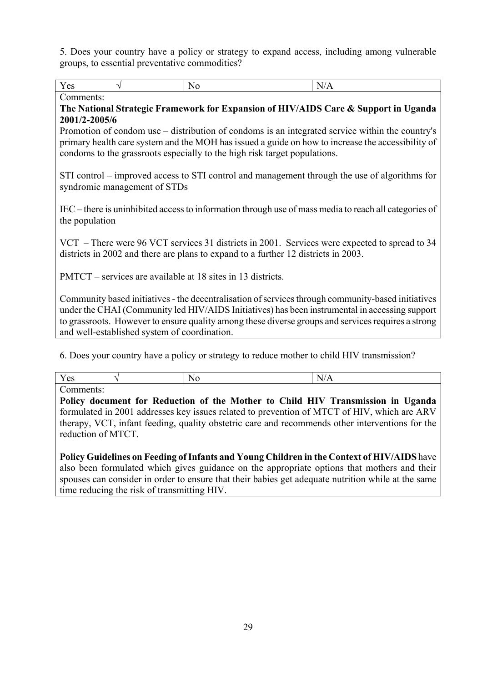5. Does your country have a policy or strategy to expand access, including among vulnerable groups, to essential preventative commodities?

 $Yes \qquad \qquad \sqrt{N_0}$  No  $N/A$ Comments:

# **The National Strategic Framework for Expansion of HIV/AIDS Care & Support in Uganda 2001/2-2005/6**

Promotion of condom use – distribution of condoms is an integrated service within the country's primary health care system and the MOH has issued a guide on how to increase the accessibility of condoms to the grassroots especially to the high risk target populations.

STI control – improved access to STI control and management through the use of algorithms for syndromic management of STDs

IEC – there is uninhibited access to information through use of mass media to reach all categories of the population

VCT – There were 96 VCT services 31 districts in 2001. Services were expected to spread to 34 districts in 2002 and there are plans to expand to a further 12 districts in 2003.

PMTCT – services are available at 18 sites in 13 districts.

Community based initiatives - the decentralisation of services through community-based initiatives under the CHAI (Community led HIV/AIDS Initiatives) has been instrumental in accessing support to grassroots. However to ensure quality among these diverse groups and services requires a strong and well-established system of coordination.

6. Does your country have a policy or strategy to reduce mother to child HIV transmission?

 $Yes \qquad \qquad \sqrt{N_0}$  No  $N/A$ 

Comments:

**Policy document for Reduction of the Mother to Child HIV Transmission in Uganda**  formulated in 2001 addresses key issues related to prevention of MTCT of HIV, which are ARV therapy, VCT, infant feeding, quality obstetric care and recommends other interventions for the reduction of MTCT.

**Policy Guidelines on Feeding of Infants and Young Children in the Context of HIV/AIDS** have also been formulated which gives guidance on the appropriate options that mothers and their spouses can consider in order to ensure that their babies get adequate nutrition while at the same time reducing the risk of transmitting HIV.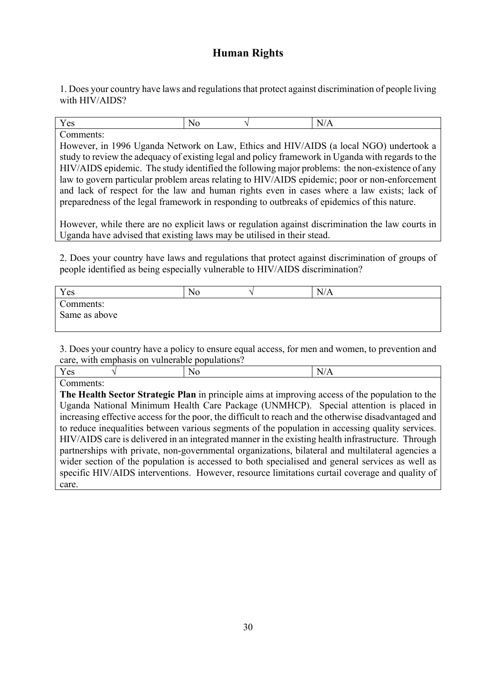# **Human Rights**

1. Does your country have laws and regulations that protect against discrimination of people living with HIV/AIDS?

| $-$ |  |  |
|-----|--|--|

Comments:

However, in 1996 Uganda Network on Law, Ethics and HIV/AIDS (a local NGO) undertook a study to review the adequacy of existing legal and policy framework in Uganda with regards to the HIV/AIDS epidemic. The study identified the following major problems: the non-existence of any law to govern particular problem areas relating to HIV/AIDS epidemic; poor or non-enforcement and lack of respect for the law and human rights even in cases where a law exists; lack of preparedness of the legal framework in responding to outbreaks of epidemics of this nature.

However, while there are no explicit laws or regulation against discrimination the law courts in Uganda have advised that existing laws may be utilised in their stead.

2. Does your country have laws and regulations that protect against discrimination of groups of people identified as being especially vulnerable to HIV/AIDS discrimination?

| Yes<br>No                  | N/A |  |
|----------------------------|-----|--|
| Comments:<br>Same as above |     |  |

3. Does your country have a policy to ensure equal access, for men and women, to prevention and care, with emphasis on vulnerable populations?

Comments:

**The Health Sector Strategic Plan** in principle aims at improving access of the population to the Uganda National Minimum Health Care Package (UNMHCP). Special attention is placed in increasing effective access for the poor, the difficult to reach and the otherwise disadvantaged and to reduce inequalities between various segments of the population in accessing quality services. HIV/AIDS care is delivered in an integrated manner in the existing health infrastructure. Through partnerships with private, non-governmental organizations, bilateral and multilateral agencies a wider section of the population is accessed to both specialised and general services as well as specific HIV/AIDS interventions. However, resource limitations curtail coverage and quality of care.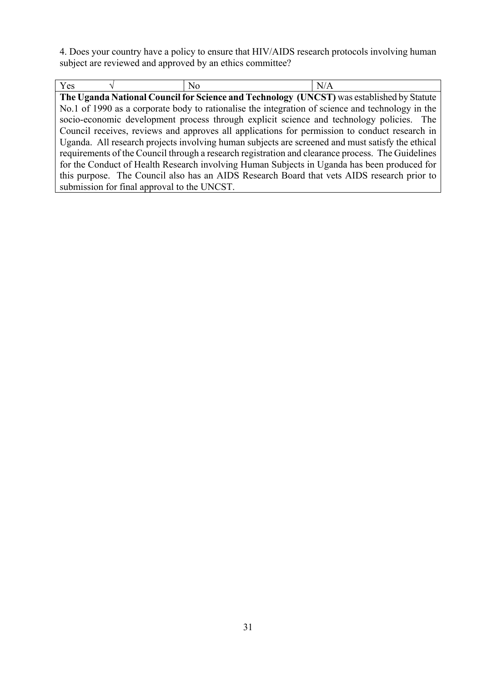4. Does your country have a policy to ensure that HIV/AIDS research protocols involving human subject are reviewed and approved by an ethics committee?

| Yes                                                                                               | No                                                                                               | N/A |  |
|---------------------------------------------------------------------------------------------------|--------------------------------------------------------------------------------------------------|-----|--|
|                                                                                                   | The Uganda National Council for Science and Technology (UNCST) was established by Statute        |     |  |
|                                                                                                   | No.1 of 1990 as a corporate body to rationalise the integration of science and technology in the |     |  |
| socio-economic development process through explicit science and technology policies. The          |                                                                                                  |     |  |
| Council receives, reviews and approves all applications for permission to conduct research in     |                                                                                                  |     |  |
| Uganda. All research projects involving human subjects are screened and must satisfy the ethical  |                                                                                                  |     |  |
| requirements of the Council through a research registration and clearance process. The Guidelines |                                                                                                  |     |  |
|                                                                                                   | for the Conduct of Health Research involving Human Subjects in Uganda has been produced for      |     |  |
|                                                                                                   | this purpose. The Council also has an AIDS Research Board that vets AIDS research prior to       |     |  |
| submission for final approval to the UNCST.                                                       |                                                                                                  |     |  |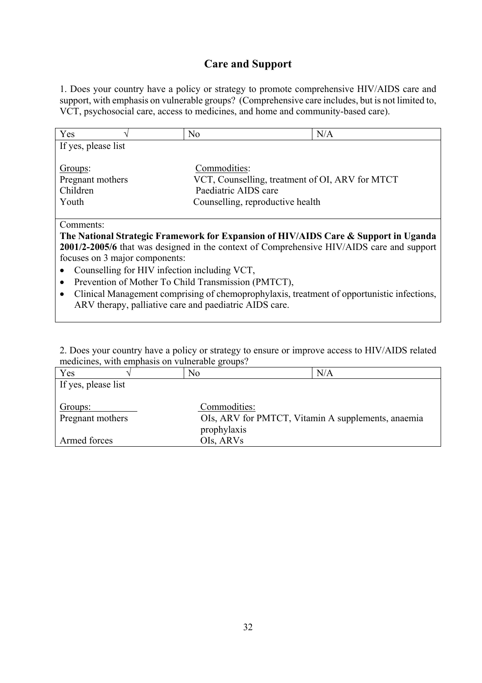# **Care and Support**

1. Does your country have a policy or strategy to promote comprehensive HIV/AIDS care and support, with emphasis on vulnerable groups? (Comprehensive care includes, but is not limited to, VCT, psychosocial care, access to medicines, and home and community-based care).

| Yes                                                                                       | N <sub>0</sub>                   | N/A                                                                                 |  |
|-------------------------------------------------------------------------------------------|----------------------------------|-------------------------------------------------------------------------------------|--|
| If yes, please list                                                                       |                                  |                                                                                     |  |
| Groups:                                                                                   | Commodities:                     |                                                                                     |  |
| Pregnant mothers                                                                          |                                  | VCT, Counselling, treatment of OI, ARV for MTCT                                     |  |
| Children                                                                                  | Paediatric AIDS care             |                                                                                     |  |
| Youth                                                                                     | Counselling, reproductive health |                                                                                     |  |
|                                                                                           |                                  |                                                                                     |  |
| Comments:                                                                                 |                                  |                                                                                     |  |
|                                                                                           |                                  | The National Strategic Framework for Expansion of HIV/AIDS Care & Support in Uganda |  |
| 2001/2-2005/6 that was designed in the context of Comprehensive HIV/AIDS care and support |                                  |                                                                                     |  |
| focuses on 3 major components:                                                            |                                  |                                                                                     |  |
| Counselling for HIV infection including VCT,                                              |                                  |                                                                                     |  |
|                                                                                           |                                  |                                                                                     |  |

- Prevention of Mother To Child Transmission (PMTCT),
- Clinical Management comprising of chemoprophylaxis, treatment of opportunistic infections, ARV therapy, palliative care and paediatric AIDS care.

2. Does your country have a policy or strategy to ensure or improve access to HIV/AIDS related medicines, with emphasis on vulnerable groups?

| Yes                 | No                                                 | N/A |
|---------------------|----------------------------------------------------|-----|
| If yes, please list |                                                    |     |
|                     |                                                    |     |
| Groups:             | Commodities:                                       |     |
| Pregnant mothers    | OIs, ARV for PMTCT, Vitamin A supplements, anaemia |     |
|                     | prophylaxis                                        |     |
| Armed forces        | OIs, ARVs                                          |     |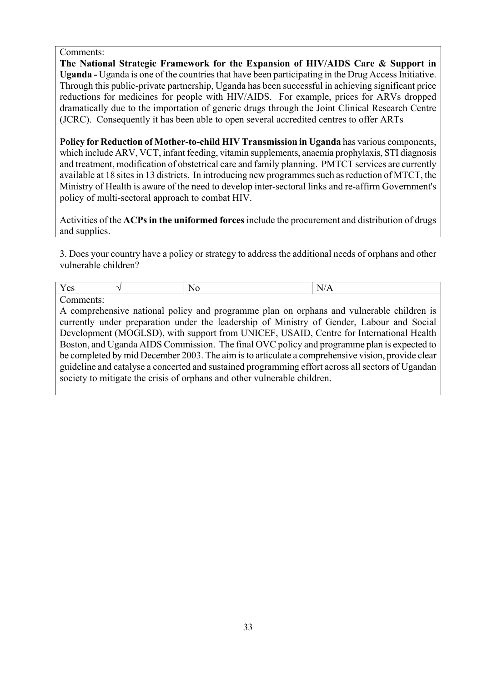Comments:

**The National Strategic Framework for the Expansion of HIV/AIDS Care & Support in Uganda -** Uganda is one of the countries that have been participating in the Drug Access Initiative. Through this public-private partnership, Uganda has been successful in achieving significant price reductions for medicines for people with HIV/AIDS. For example, prices for ARVs dropped dramatically due to the importation of generic drugs through the Joint Clinical Research Centre (JCRC). Consequently it has been able to open several accredited centres to offer ARTs

**Policy for Reduction of Mother-to-child HIV Transmission in Uganda** has various components, which include ARV, VCT, infant feeding, vitamin supplements, anaemia prophylaxis, STI diagnosis and treatment, modification of obstetrical care and family planning. PMTCT services are currently available at 18 sites in 13 districts. In introducing new programmes such as reduction of MTCT, the Ministry of Health is aware of the need to develop inter-sectoral links and re-affirm Government's policy of multi-sectoral approach to combat HIV.

Activities of the **ACPs in the uniformed forces** include the procurement and distribution of drugs and supplies.

3. Does your country have a policy or strategy to address the additional needs of orphans and other vulnerable children?

| $\overline{\phantom{a}}$<br> |  |
|------------------------------|--|
|                              |  |

Comments:

A comprehensive national policy and programme plan on orphans and vulnerable children is currently under preparation under the leadership of Ministry of Gender, Labour and Social Development (MOGLSD), with support from UNICEF, USAID, Centre for International Health Boston, and Uganda AIDS Commission. The final OVC policy and programme plan is expected to be completed by mid December 2003. The aim is to articulate a comprehensive vision, provide clear guideline and catalyse a concerted and sustained programming effort across all sectors of Ugandan society to mitigate the crisis of orphans and other vulnerable children.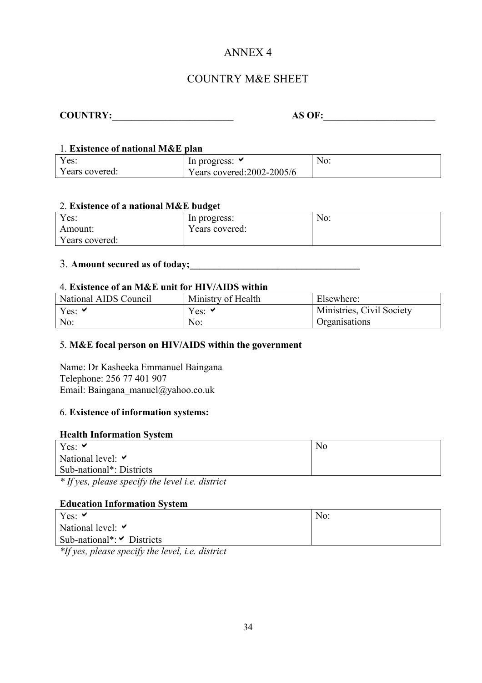# ANNEX 4

# COUNTRY M&E SHEET

| <b>COUNTRY:</b> | <b>AS OF:</b> |
|-----------------|---------------|
|-----------------|---------------|

### 1. **Existence of national M&E plan**

| Y es:          | In progress:               | N <sub>O</sub> : |
|----------------|----------------------------|------------------|
| Years covered: | Years covered: 2002-2005/6 |                  |

#### 2. **Existence of a national M&E budget**

| Yes:           | In progress:   | No: |
|----------------|----------------|-----|
| Amount:        | Years covered: |     |
| Years covered: |                |     |

# 3. **Amount secured as of today;\_\_\_\_\_\_\_\_\_\_\_\_\_\_\_\_\_\_\_\_\_\_\_\_\_\_\_\_\_\_\_\_\_\_\_**

#### 4. **Existence of an M&E unit for HIV/AIDS within**

| National AIDS Council | Ministry of Health | Elsewhere:                |
|-----------------------|--------------------|---------------------------|
| Yes: $\vee$           | Yes: $\vee$        | Ministries, Civil Society |
| No:                   | No:                | Organisations             |

#### 5. **M&E focal person on HIV/AIDS within the government**

Name: Dr Kasheeka Emmanuel Baingana Telephone: 256 77 401 907 Email: Baingana\_manuel@yahoo.co.uk

#### 6. **Existence of information systems:**

#### **Health Information System**

| Yes: $\vee$                                    | N <sub>0</sub> |
|------------------------------------------------|----------------|
| National level: $\triangledown$                |                |
| Sub-national <sup>*</sup> : Districts          |                |
| * If you place enocify the level i.e. district |                |

*\* If yes, please specify the level i.e. district* 

#### **Education Information System**

| Yes: $\vee$                                            | No: |
|--------------------------------------------------------|-----|
| National level: $\triangledown$                        |     |
| Sub-national <sup>*</sup> : $\triangleright$ Districts |     |
| $\mathbf{A} \times \mathbf{A}$                         |     |

*\*If yes, please specify the level, i.e. district*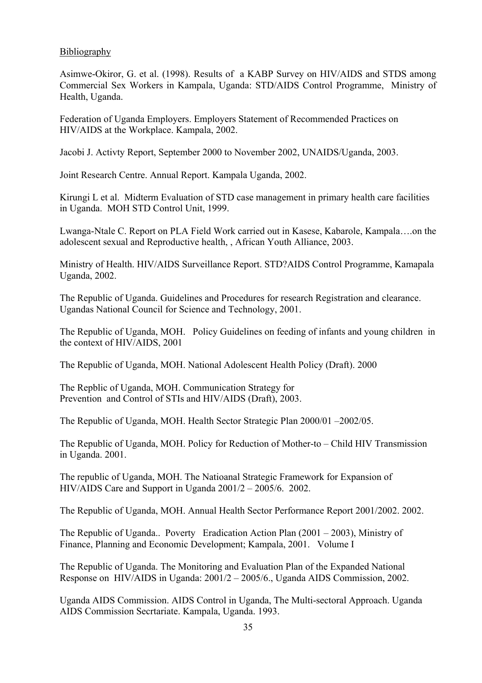#### Bibliography

Asimwe-Okiror, G. et al. (1998). Results of a KABP Survey on HIV/AIDS and STDS among Commercial Sex Workers in Kampala, Uganda: STD/AIDS Control Programme, Ministry of Health, Uganda.

Federation of Uganda Employers. Employers Statement of Recommended Practices on HIV/AIDS at the Workplace. Kampala, 2002.

Jacobi J. Activty Report, September 2000 to November 2002, UNAIDS/Uganda, 2003.

Joint Research Centre. Annual Report. Kampala Uganda, 2002.

Kirungi L et al. Midterm Evaluation of STD case management in primary health care facilities in Uganda. MOH STD Control Unit, 1999.

Lwanga-Ntale C. Report on PLA Field Work carried out in Kasese, Kabarole, Kampala….on the adolescent sexual and Reproductive health, , African Youth Alliance, 2003.

Ministry of Health. HIV/AIDS Surveillance Report. STD?AIDS Control Programme, Kamapala Uganda, 2002.

The Republic of Uganda. Guidelines and Procedures for research Registration and clearance. Ugandas National Council for Science and Technology, 2001.

The Republic of Uganda, MOH. Policy Guidelines on feeding of infants and young children in the context of HIV/AIDS, 2001

The Republic of Uganda, MOH. National Adolescent Health Policy (Draft). 2000

The Repblic of Uganda, MOH. Communication Strategy for Prevention and Control of STIs and HIV/AIDS (Draft), 2003.

The Republic of Uganda, MOH. Health Sector Strategic Plan 2000/01 –2002/05.

The Republic of Uganda, MOH. Policy for Reduction of Mother-to – Child HIV Transmission in Uganda. 2001.

The republic of Uganda, MOH. The Natioanal Strategic Framework for Expansion of HIV/AIDS Care and Support in Uganda 2001/2 – 2005/6. 2002.

The Republic of Uganda, MOH. Annual Health Sector Performance Report 2001/2002. 2002.

The Republic of Uganda.. Poverty Eradication Action Plan (2001 – 2003), Ministry of Finance, Planning and Economic Development; Kampala, 2001. Volume I

The Republic of Uganda. The Monitoring and Evaluation Plan of the Expanded National Response on HIV/AIDS in Uganda: 2001/2 – 2005/6., Uganda AIDS Commission, 2002.

Uganda AIDS Commission. AIDS Control in Uganda, The Multi-sectoral Approach. Uganda AIDS Commission Secrtariate. Kampala, Uganda. 1993.